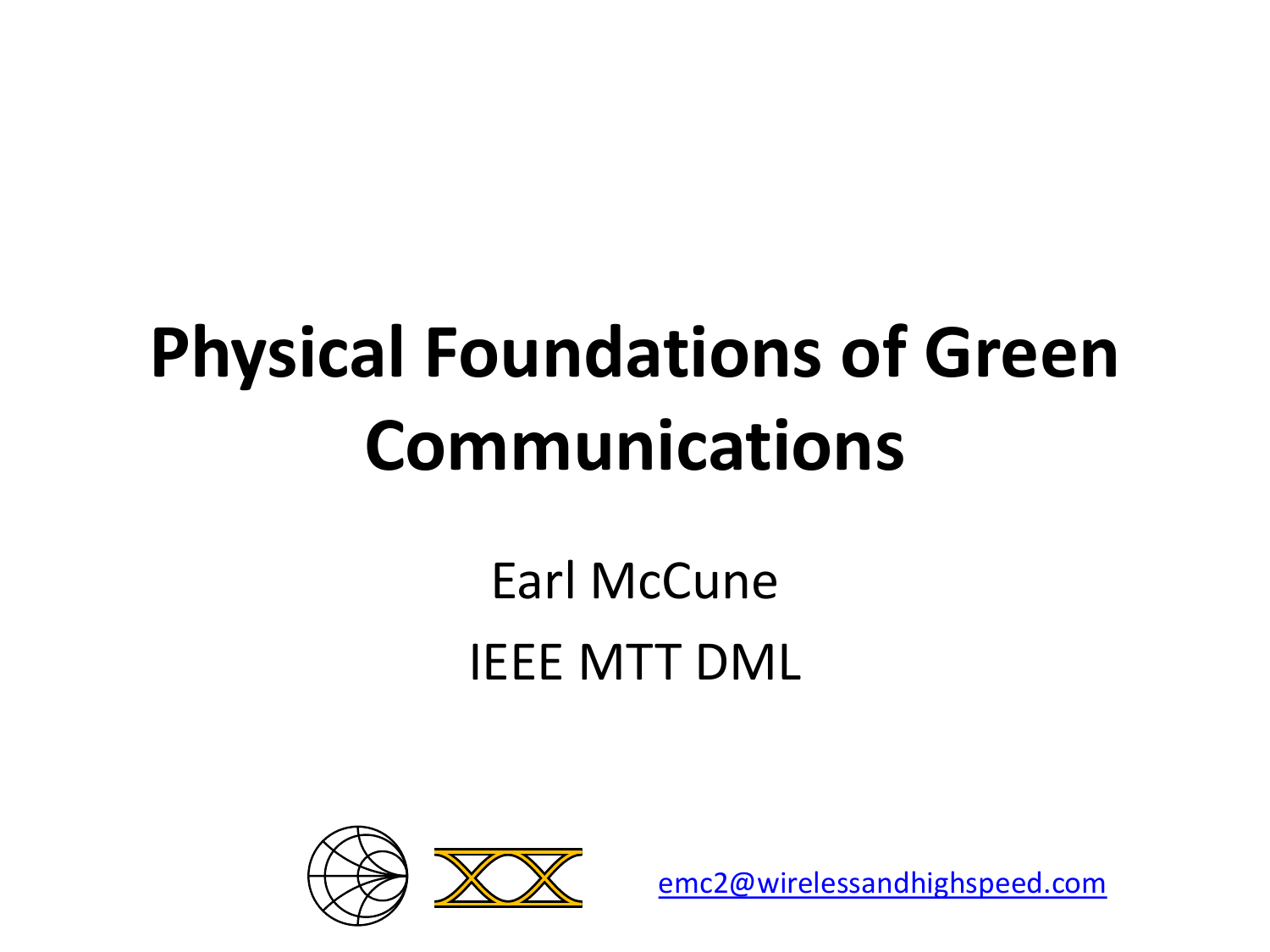# **Physical Foundations of Green Communications**

#### Earl McCune IEEE MTT DML



[emc2@wirelessandhighspeed.com](mailto:emc2@wirelessandhighspeed.com)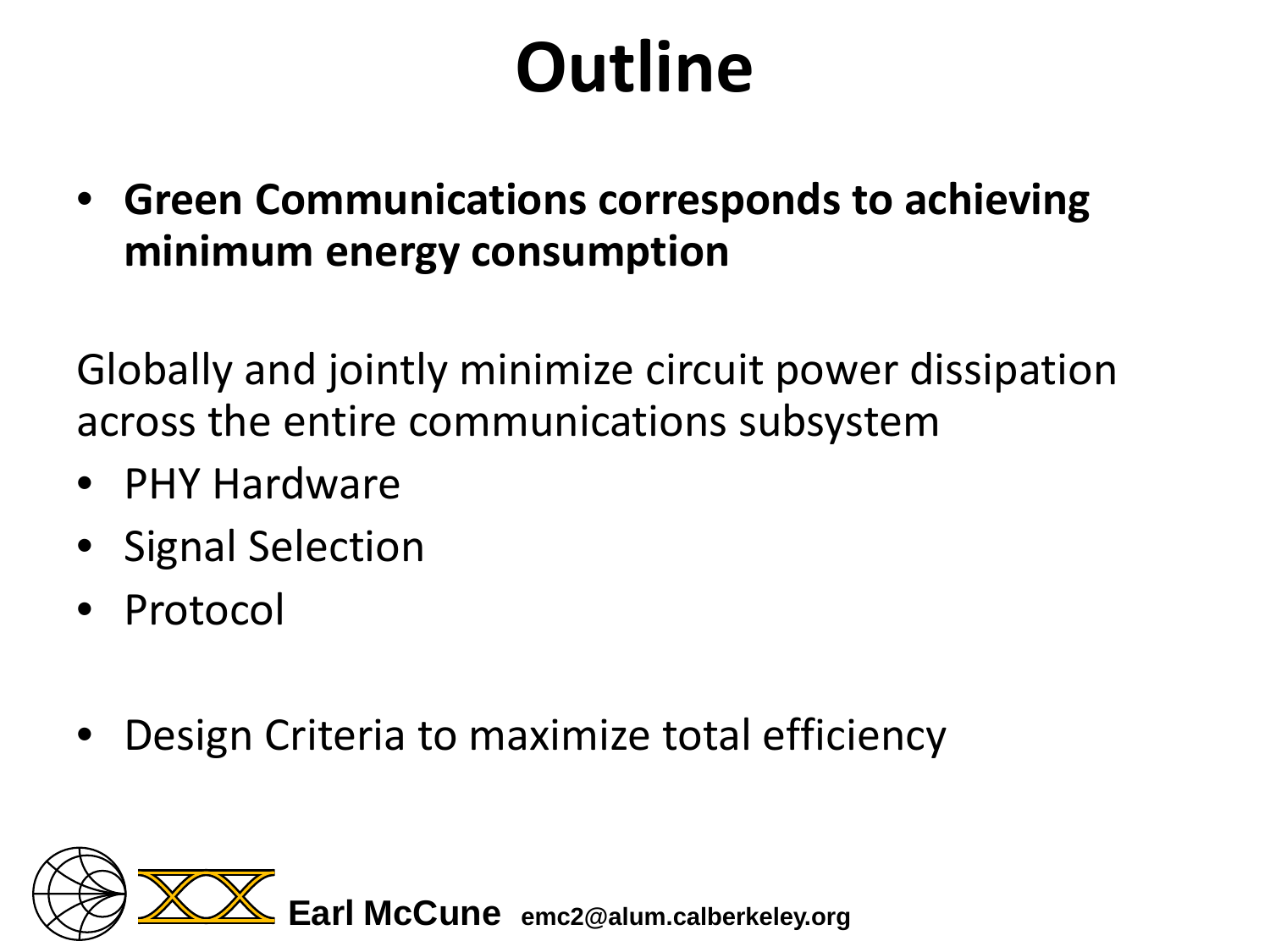# **Outline**

• **Green Communications corresponds to achieving minimum energy consumption**

Globally and jointly minimize circuit power dissipation across the entire communications subsystem

- PHY Hardware
- Signal Selection
- Protocol
- Design Criteria to maximize total efficiency

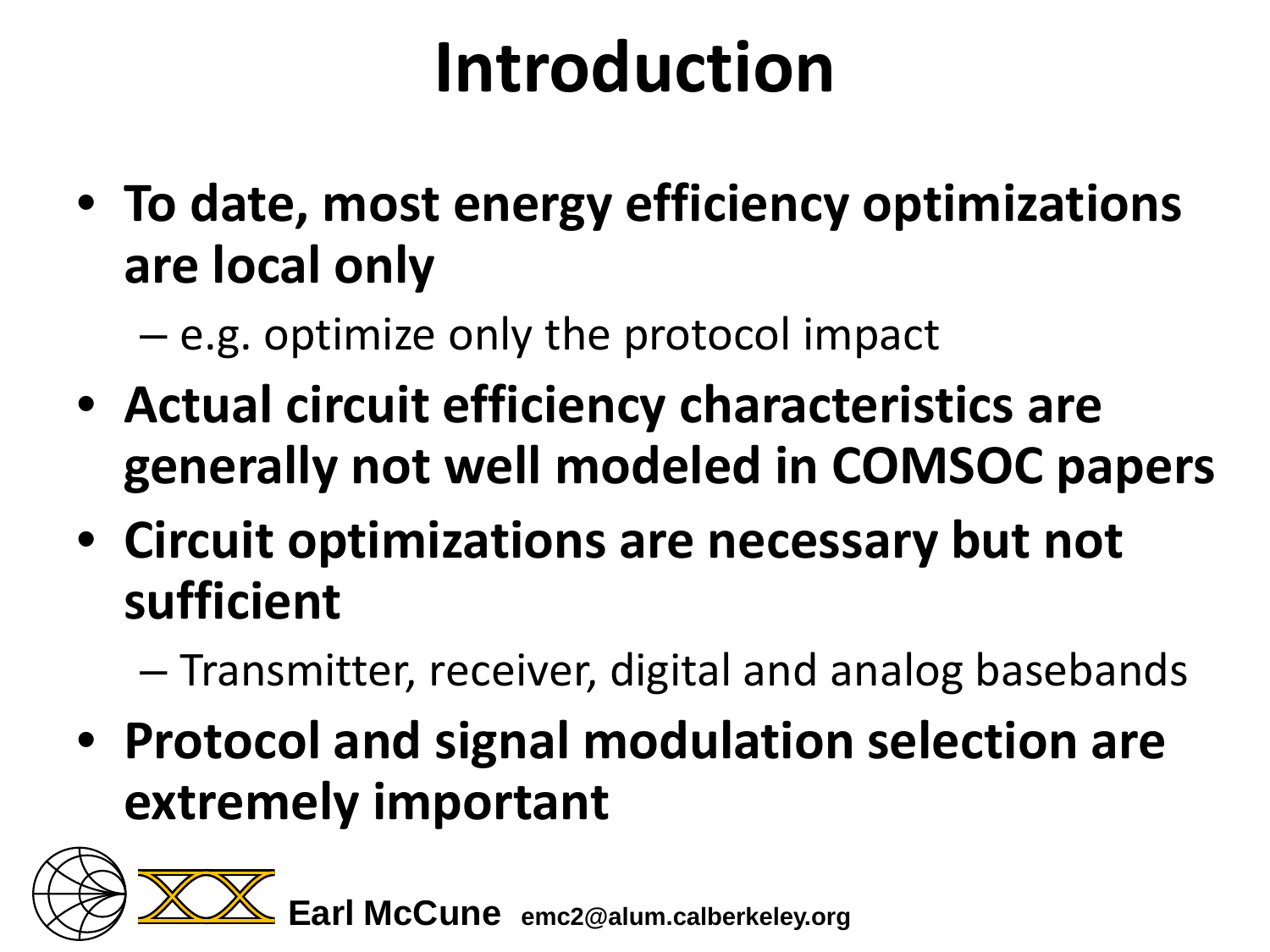## **Introduction**

• **To date, most energy efficiency optimizations are local only**

– e.g. optimize only the protocol impact

- **Actual circuit efficiency characteristics are generally not well modeled in COMSOC papers**
- **Circuit optimizations are necessary but not sufficient**
	- Transmitter, receiver, digital and analog basebands
- **Protocol and signal modulation selection are extremely important**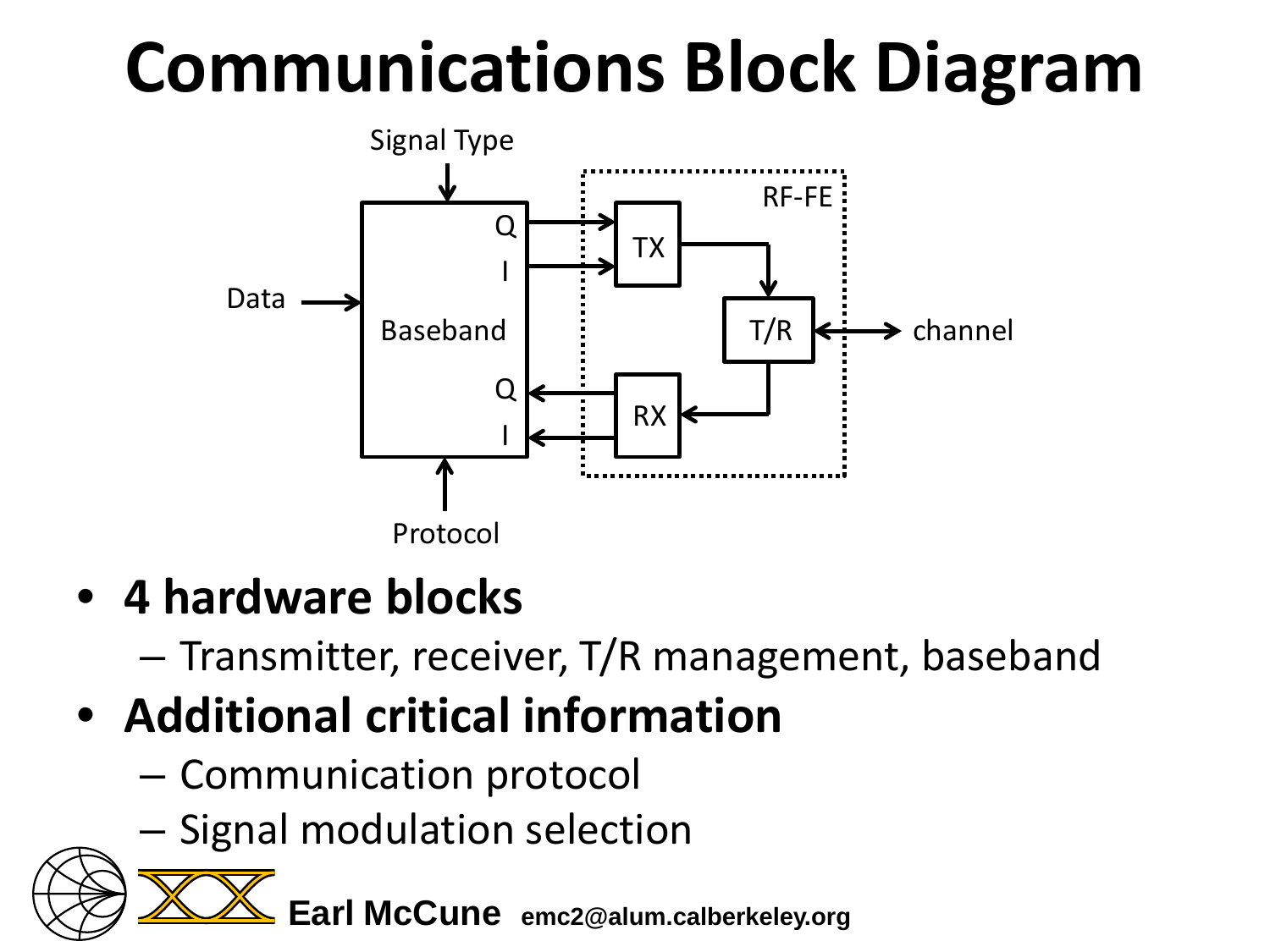# **Communications Block Diagram**



- **4 hardware blocks**
	- Transmitter, receiver, T/R management, baseband
- **Additional critical information**
	- Communication protocol
	- Signal modulation selection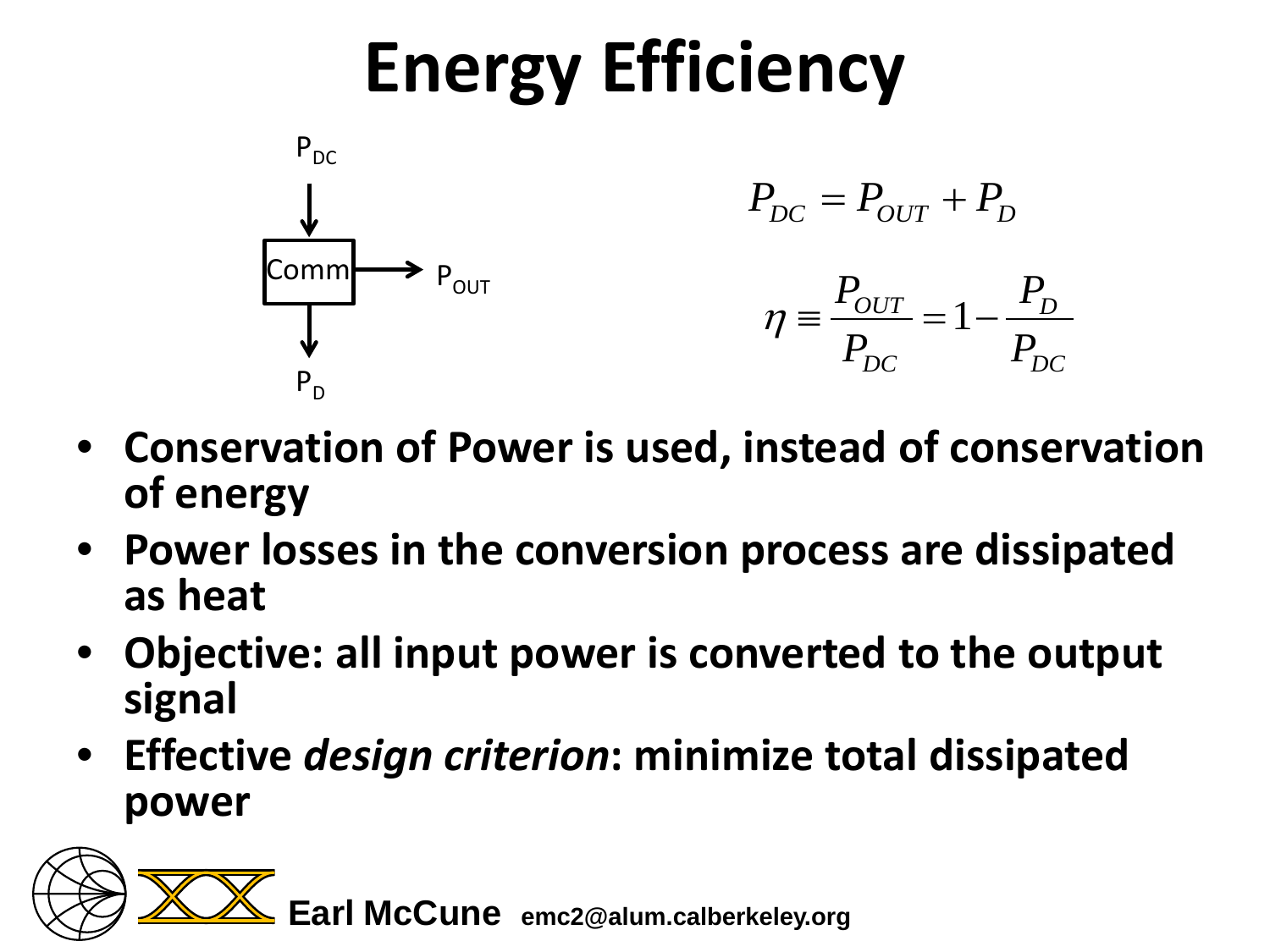# **Energy Efficiency**



- **Conservation of Power is used, instead of conservation of energy**
- **Power losses in the conversion process are dissipated as heat**
- **Objective: all input power is converted to the output signal**
- **Effective** *design criterion***: minimize total dissipated power**

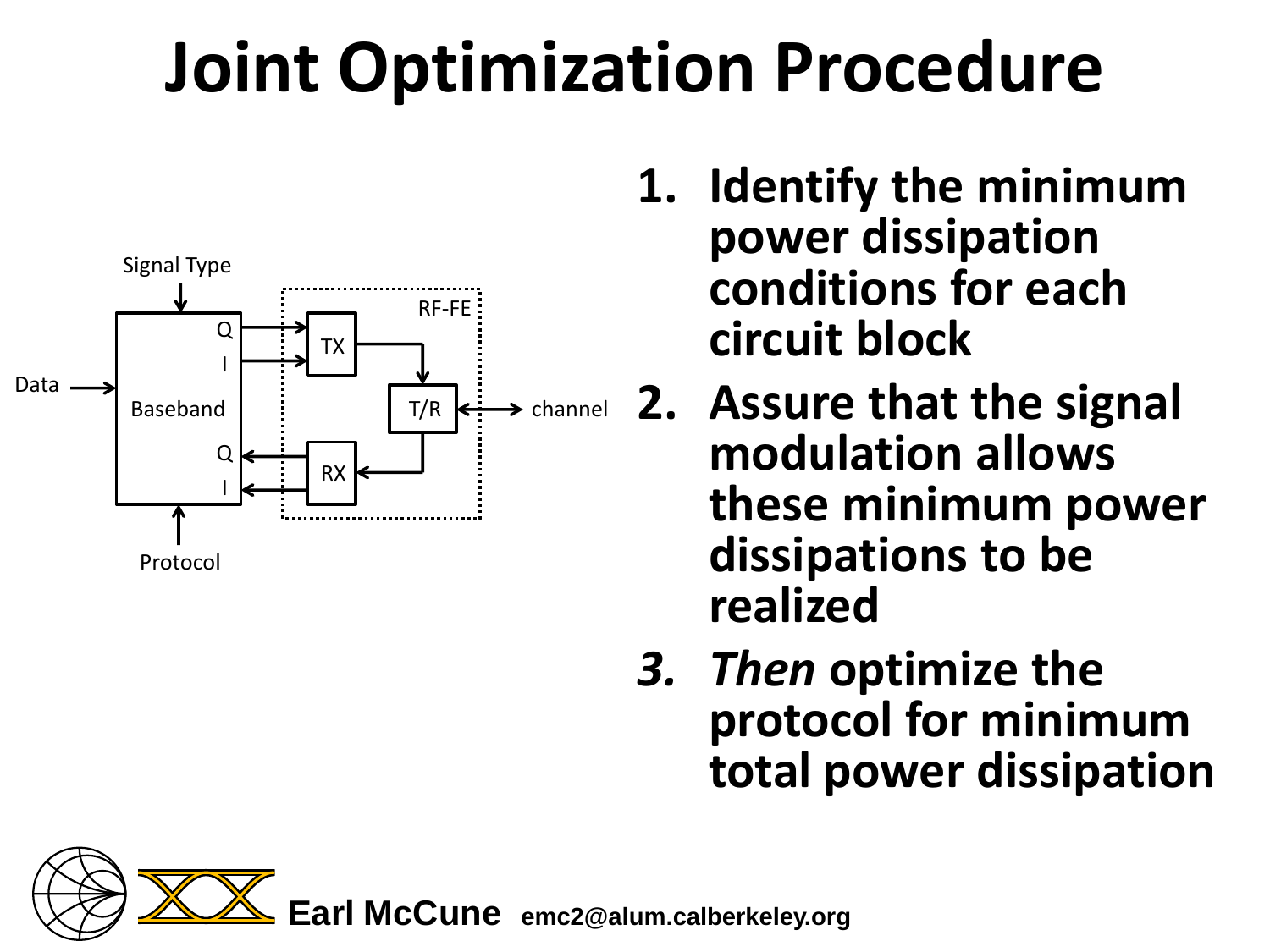# **Joint Optimization Procedure**



- **1. Identify the minimum power dissipation conditions for each circuit block**
- T/R  $\leftrightarrow$  channel 2. Assure that the signal **modulation allows these minimum power dissipations to be realized**
	- *3. Then* **optimize the protocol for minimum total power dissipation**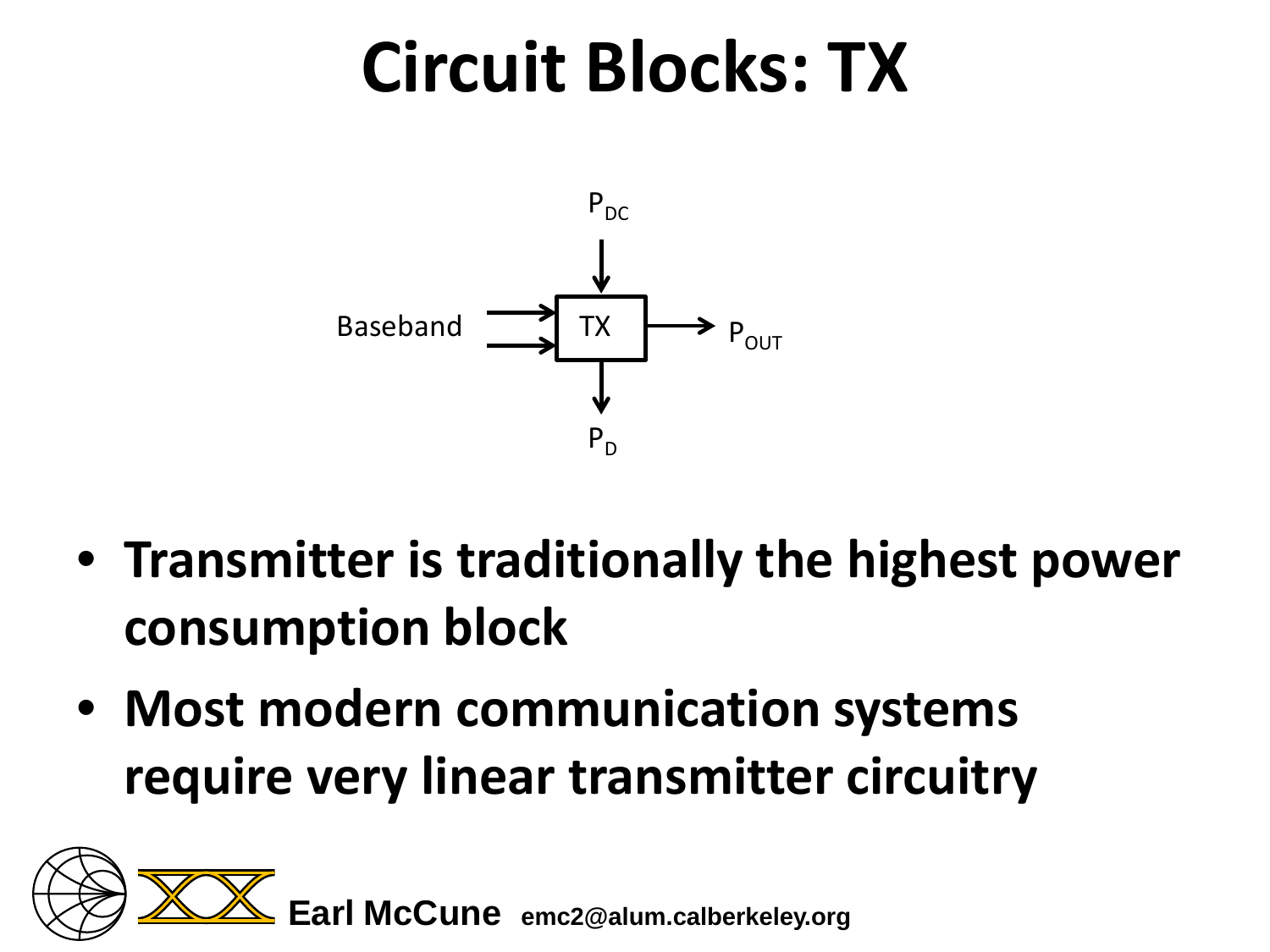#### **Circuit Blocks: TX**



- **Transmitter is traditionally the highest power consumption block**
- **Most modern communication systems require very linear transmitter circuitry**

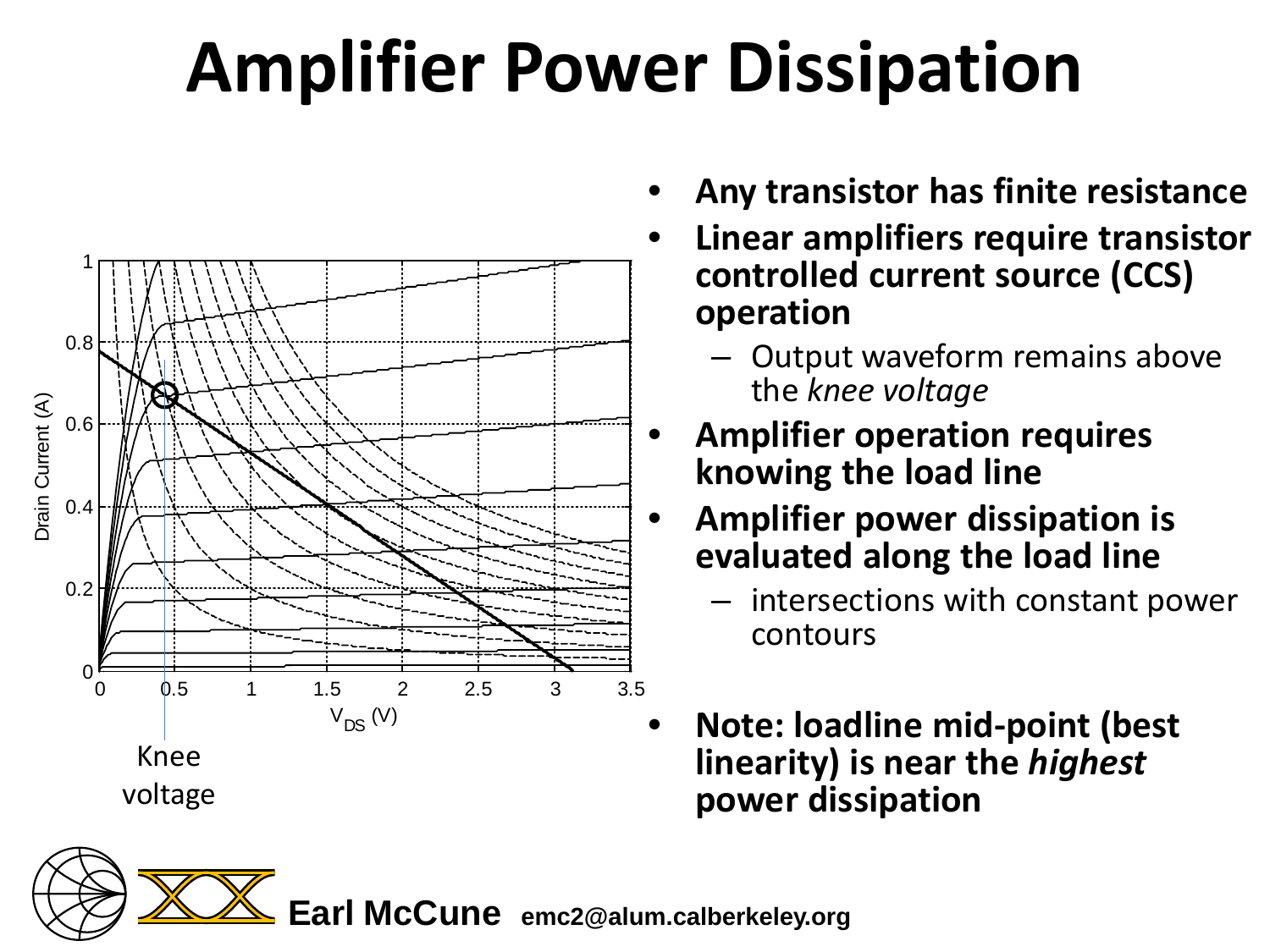# **Amplifier Power Dissipation**



- **Any transistor has finite resistance**
- **Linear amplifiers require transistor controlled current source (CCS) operation**
	- Output waveform remains above the *knee voltage*
	- **Amplifier operation requires knowing the load line**
- **Amplifier power dissipation is evaluated along the load line** 
	- intersections with constant power contours
- **Note: loadline mid-point (best linearity) is near the** *highest* **power dissipation**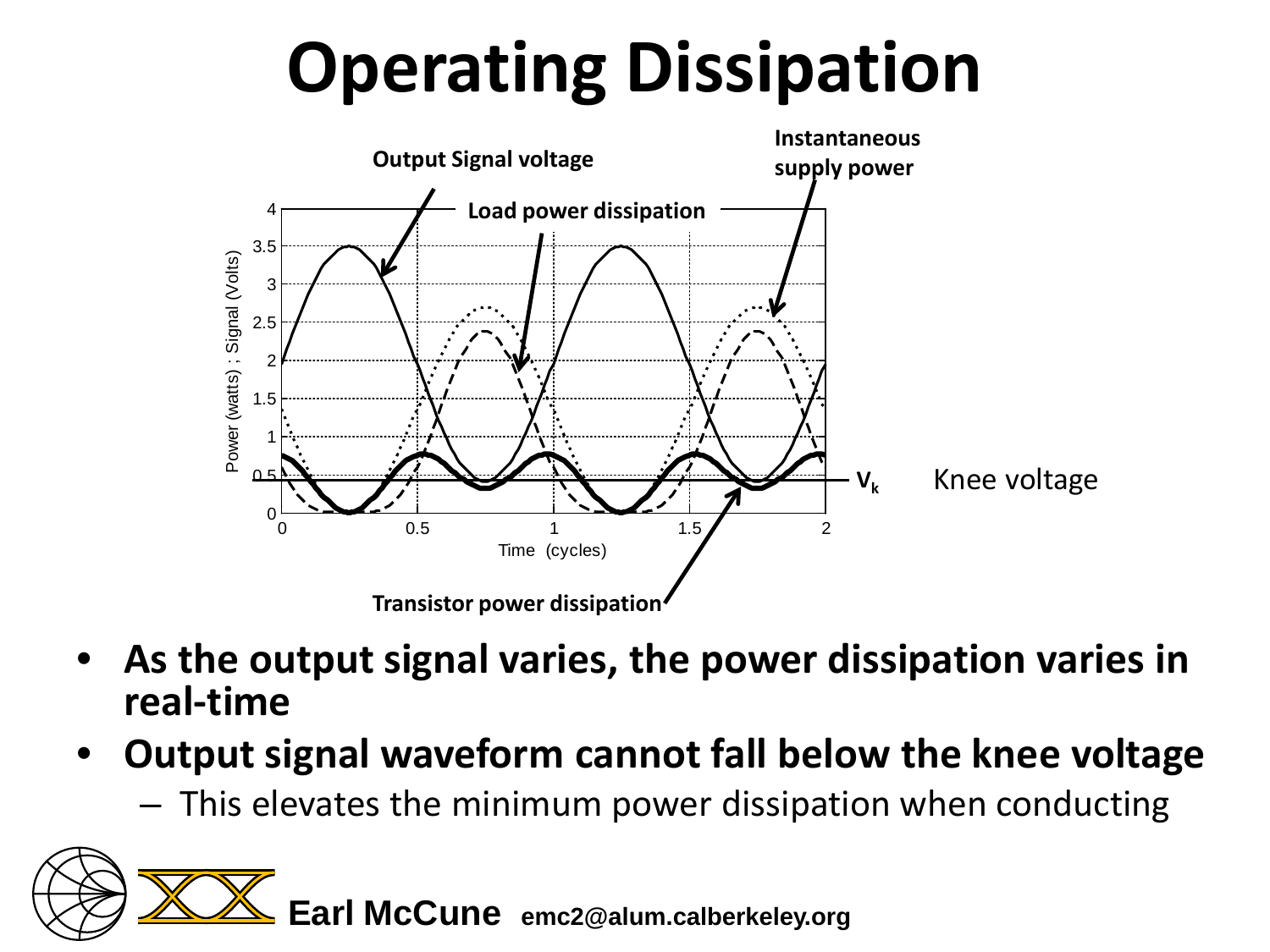# **Operating Dissipation**



- **As the output signal varies, the power dissipation varies in real-time**
- **Output signal waveform cannot fall below the knee voltage**
	- This elevates the minimum power dissipation when conducting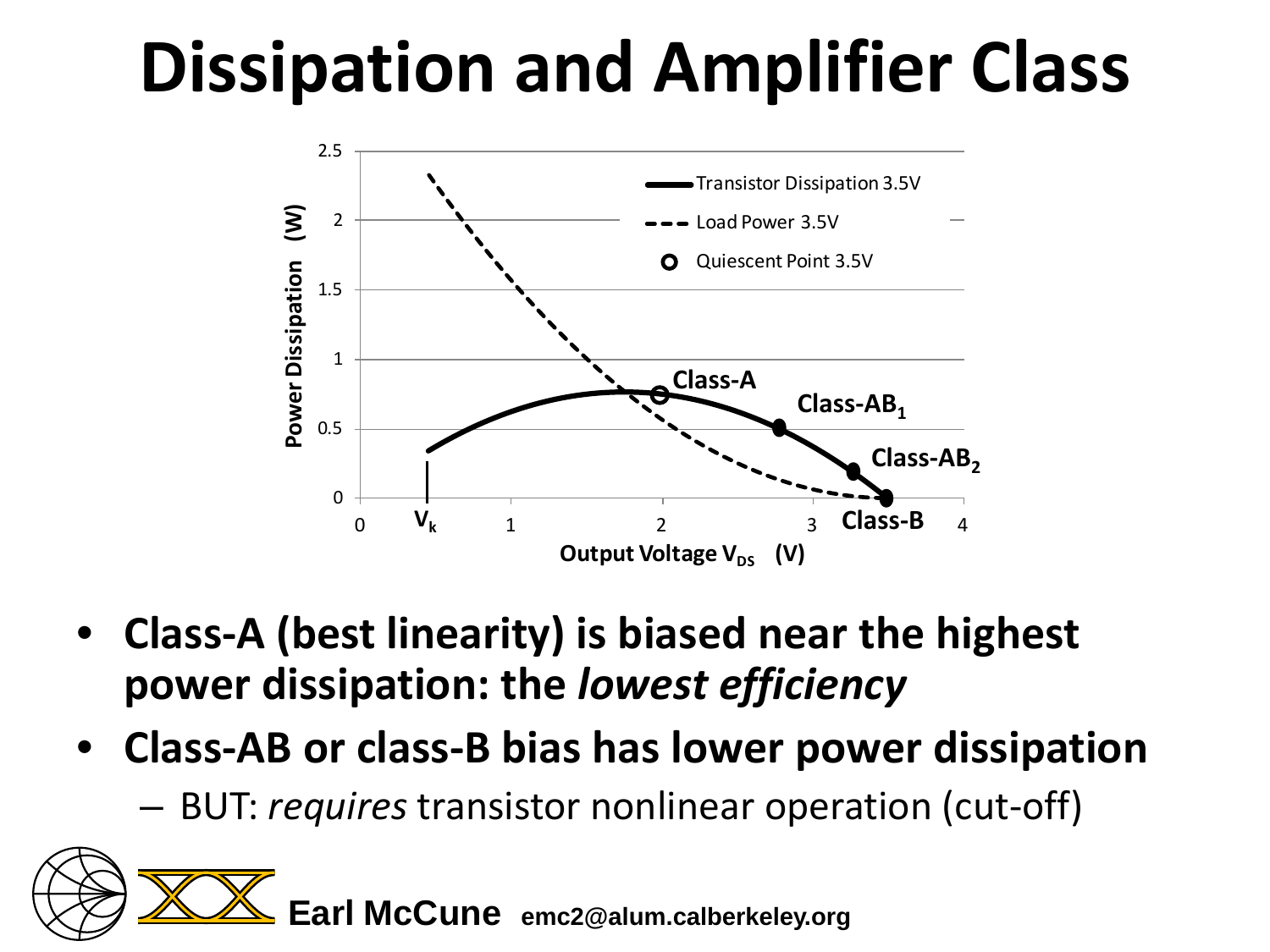# **Dissipation and Amplifier Class**



- **Class-A (best linearity) is biased near the highest power dissipation: the** *lowest efficiency*
- **Class-AB or class-B bias has lower power dissipation**
	- BUT: *requires* transistor nonlinear operation (cut-off)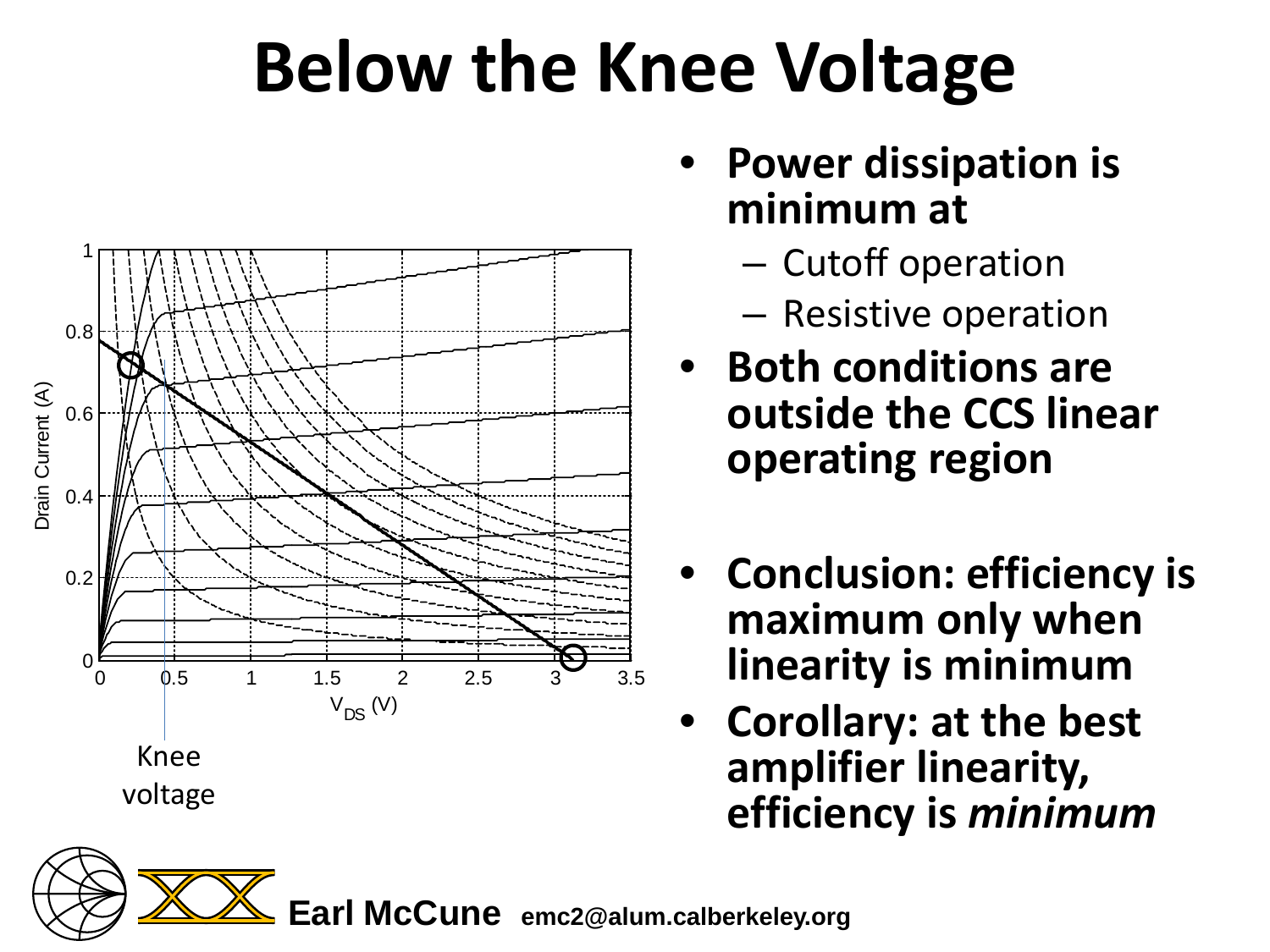## **Below the Knee Voltage**



- **Power dissipation is minimum at**
	- Cutoff operation
	- Resistive operation
- **Both conditions are outside the CCS linear operating region**
- **Conclusion: efficiency is maximum only when linearity is minimum**
- **Corollary: at the best amplifier linearity, efficiency is** *minimum*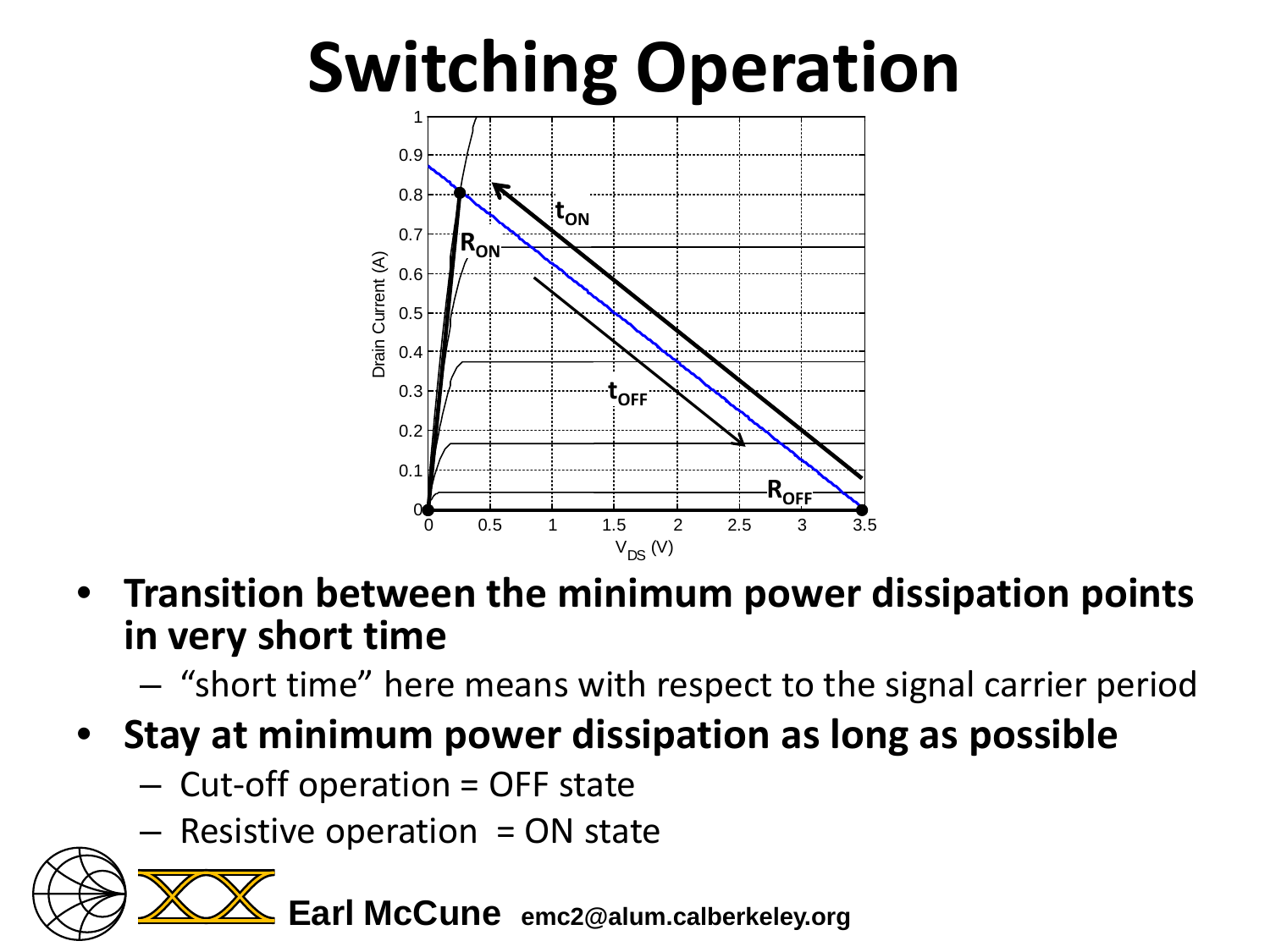

- **Transition between the minimum power dissipation points in very short time**
	- "short time" here means with respect to the signal carrier period
- **Stay at minimum power dissipation as long as possible**
	- Cut-off operation = OFF state
	- $-$  Resistive operation = ON state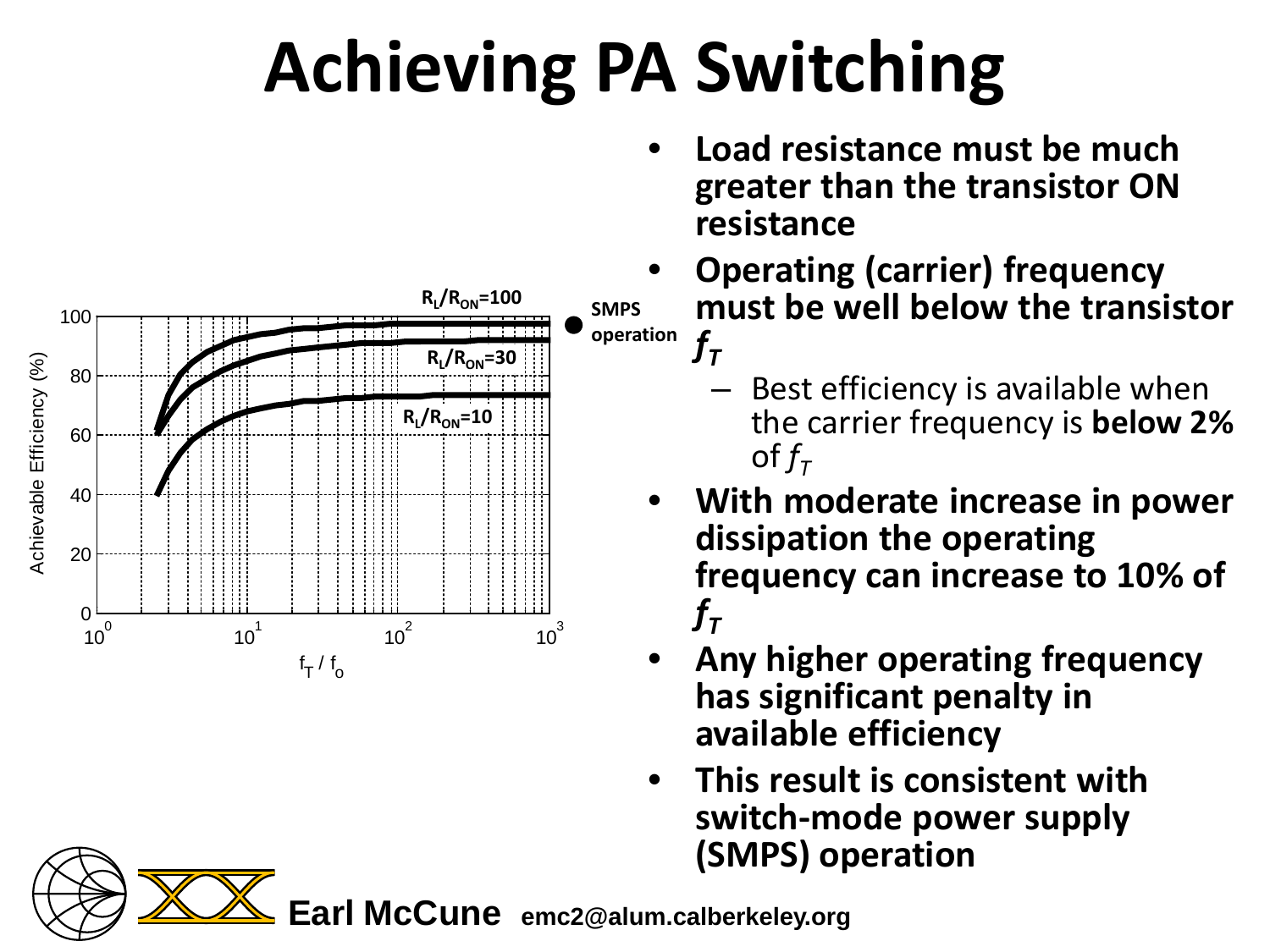# **Achieving PA Switching**



- **Load resistance must be much greater than the transistor ON resistance**
- **Operating (carrier) frequency must be well below the transistor**   $f_T$ 
	- Best efficiency is available when the carrier frequency is **below 2%**  of  $f_{\tau}$
- **With moderate increase in power dissipation the operating frequency can increase to 10% of**   $f_T$
- **Any higher operating frequency has significant penalty in available efficiency**
- **This result is consistent with switch-mode power supply (SMPS) operation**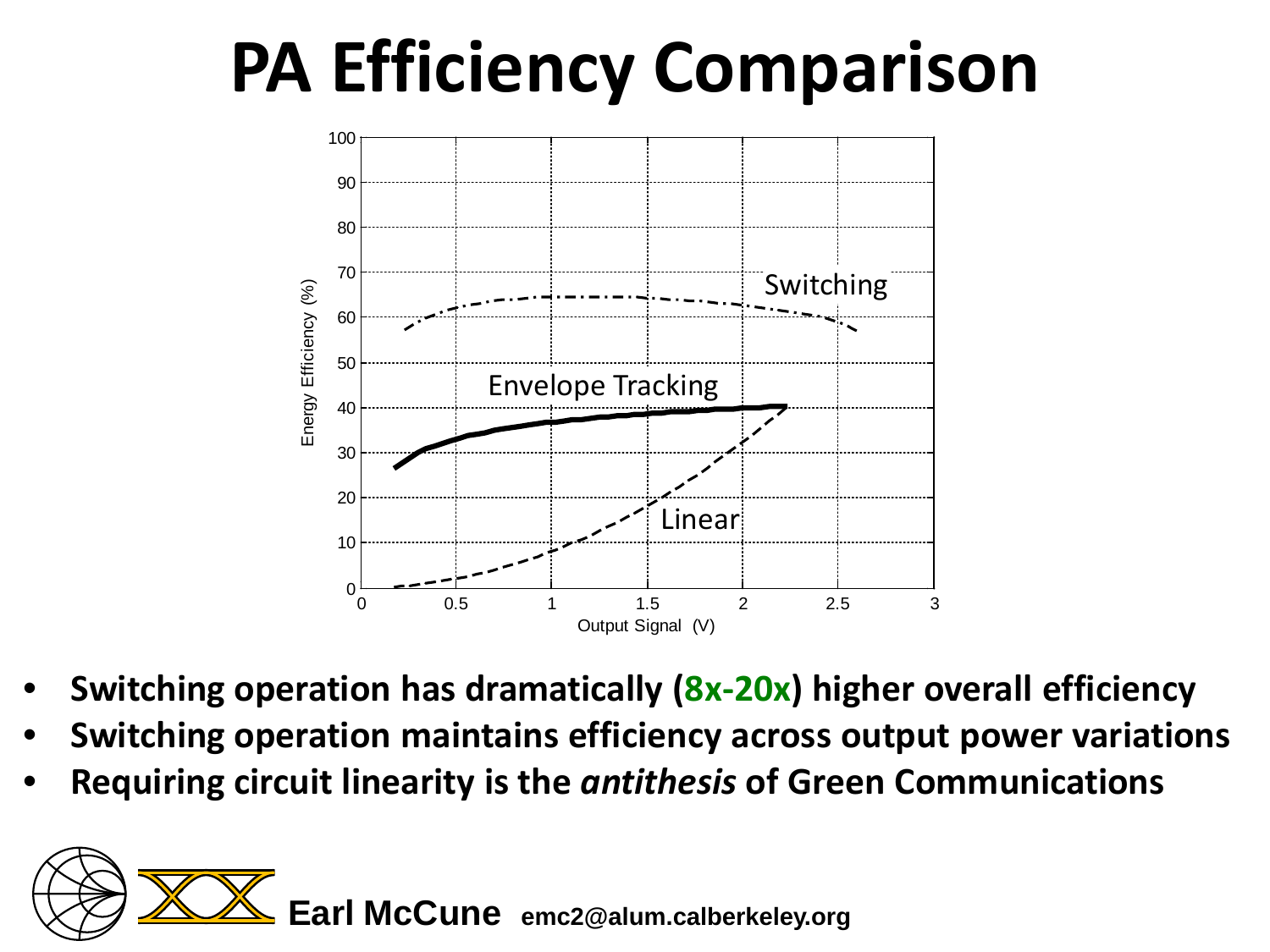### **PA Efficiency Comparison**



- **Switching operation has dramatically (8x-20x) higher overall efficiency**
- **Switching operation maintains efficiency across output power variations**
- **Requiring circuit linearity is the** *antithesis* **of Green Communications**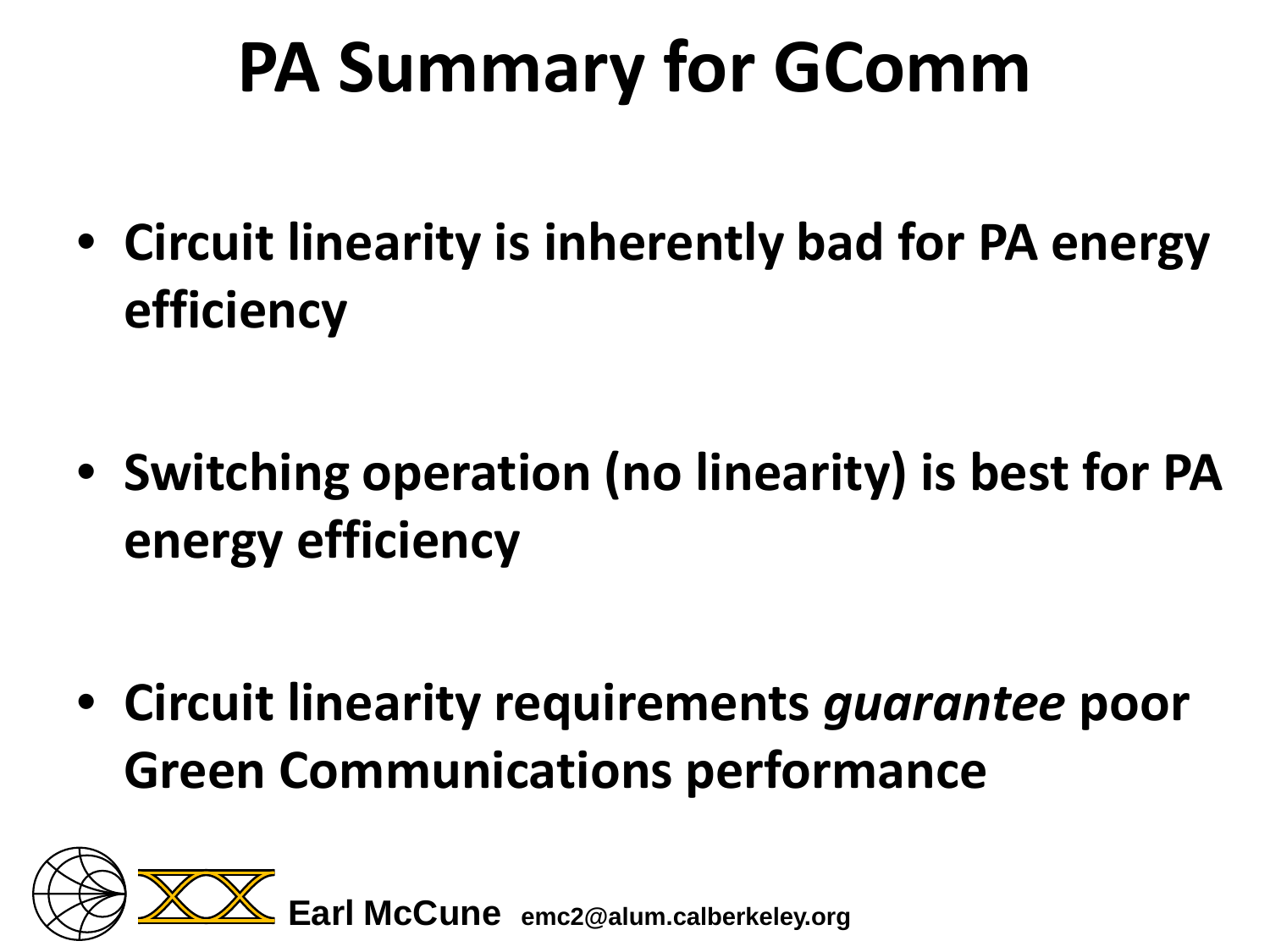### **PA Summary for GComm**

• **Circuit linearity is inherently bad for PA energy efficiency**

• **Switching operation (no linearity) is best for PA energy efficiency**

• **Circuit linearity requirements** *guarantee* **poor Green Communications performance**

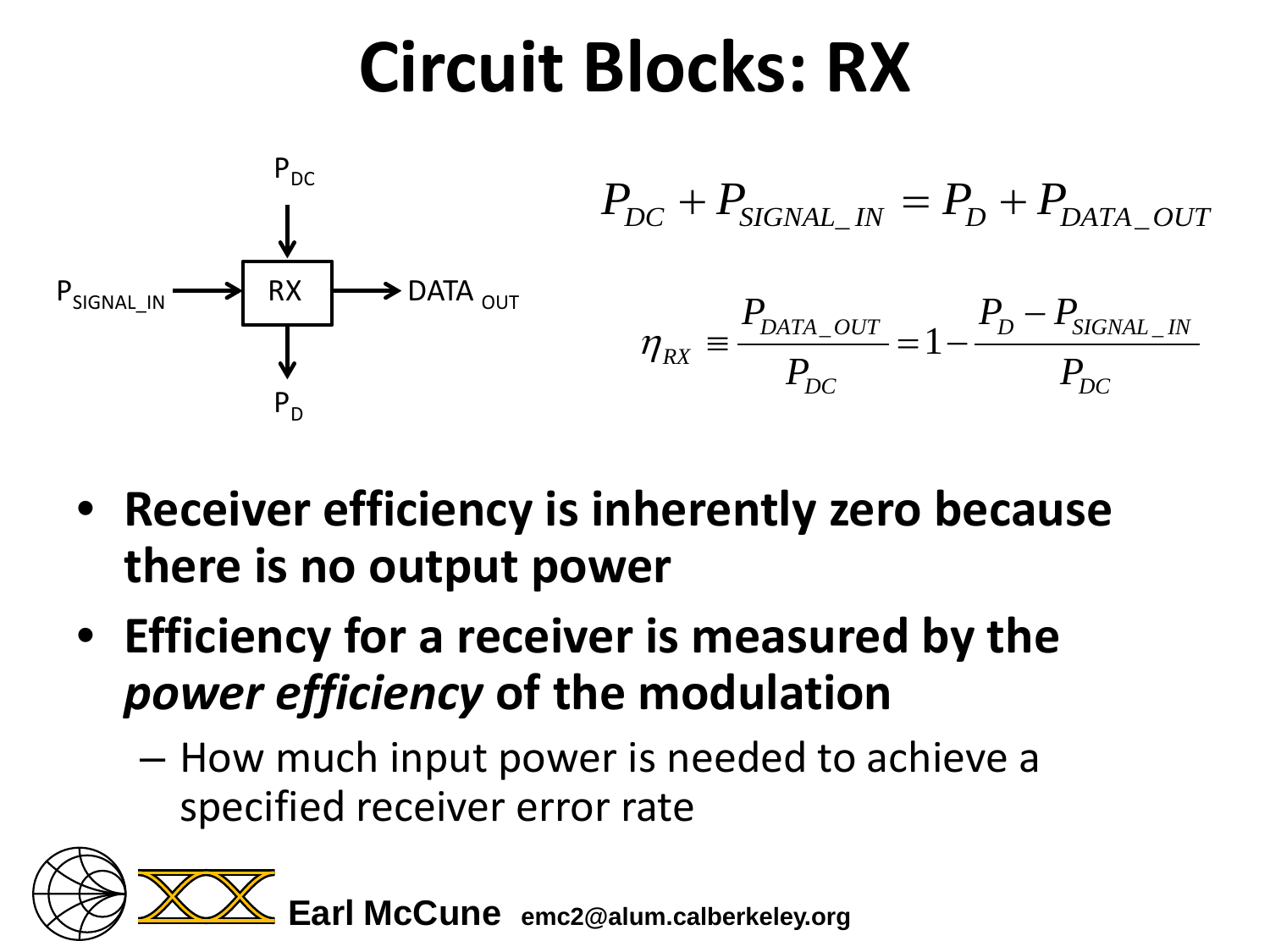#### **Circuit Blocks: RX**



- **Receiver efficiency is inherently zero because there is no output power**
- **Efficiency for a receiver is measured by the**  *power efficiency* **of the modulation**
	- How much input power is needed to achieve a specified receiver error rate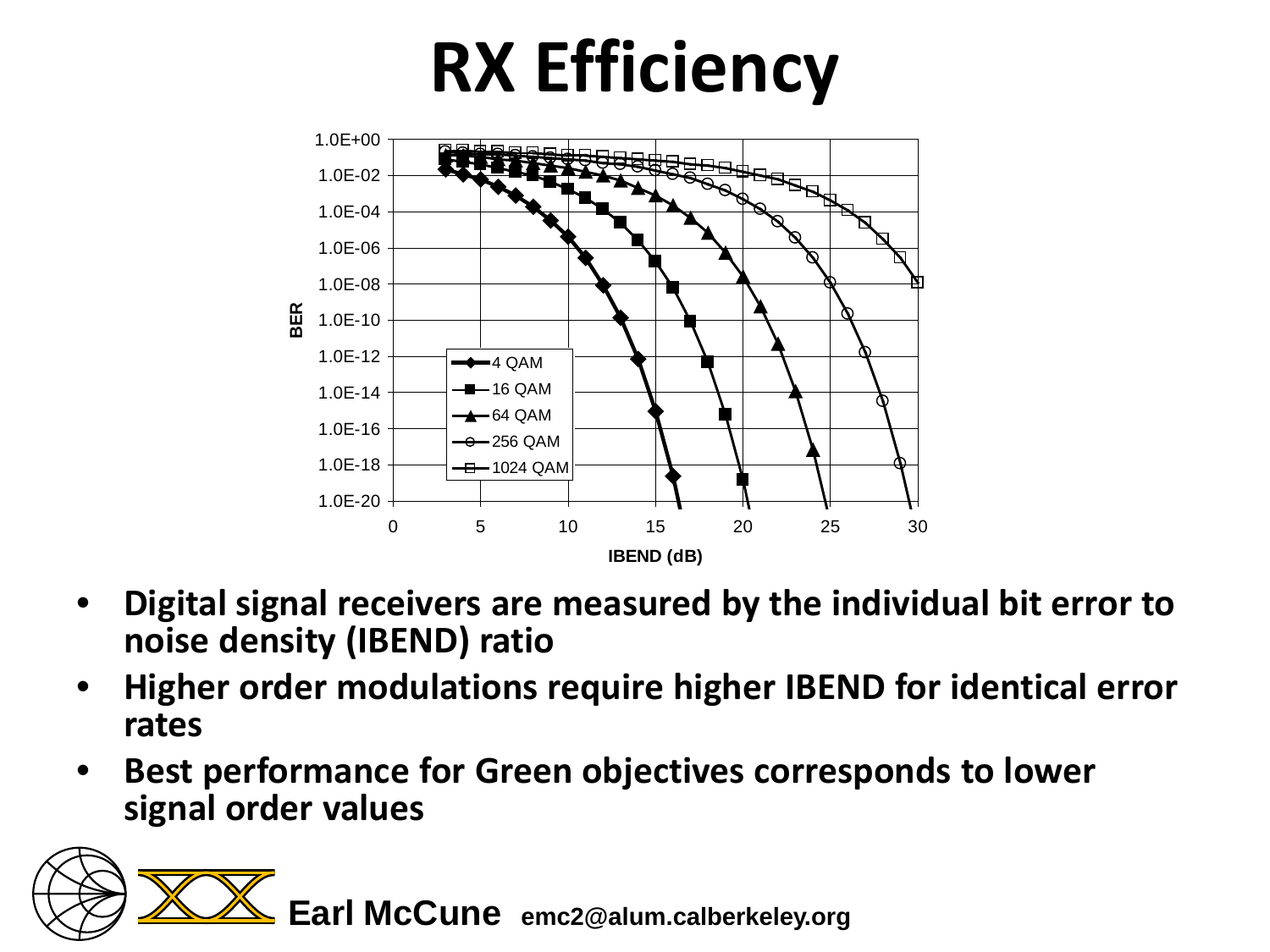# **RX Efficiency**



- **Digital signal receivers are measured by the individual bit error to noise density (IBEND) ratio**
- **Higher order modulations require higher IBEND for identical error rates**
- **Best performance for Green objectives corresponds to lower signal order values**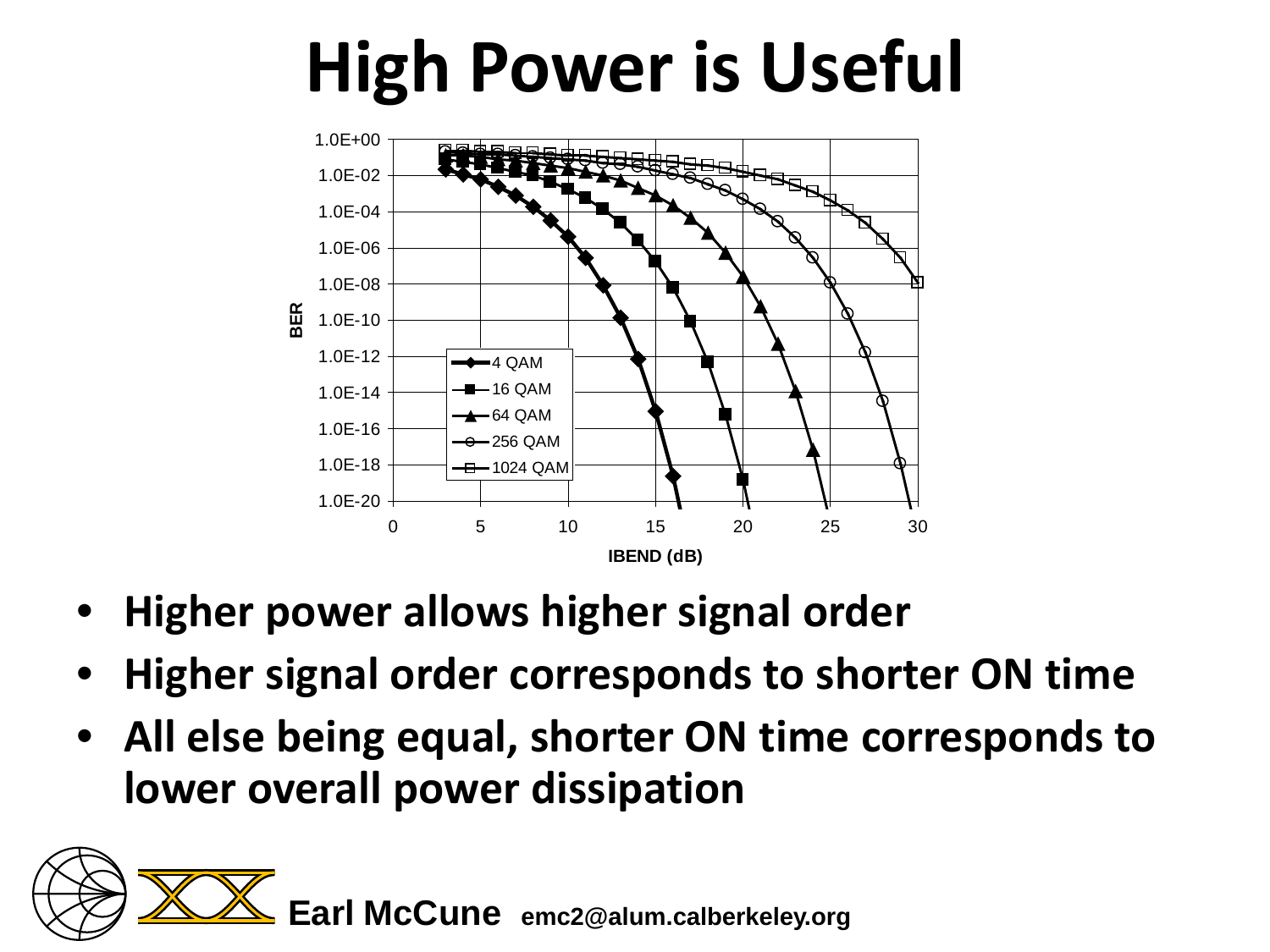#### **High Power is Useful**



- **Higher power allows higher signal order**
- **Higher signal order corresponds to shorter ON time**
- **All else being equal, shorter ON time corresponds to lower overall power dissipation**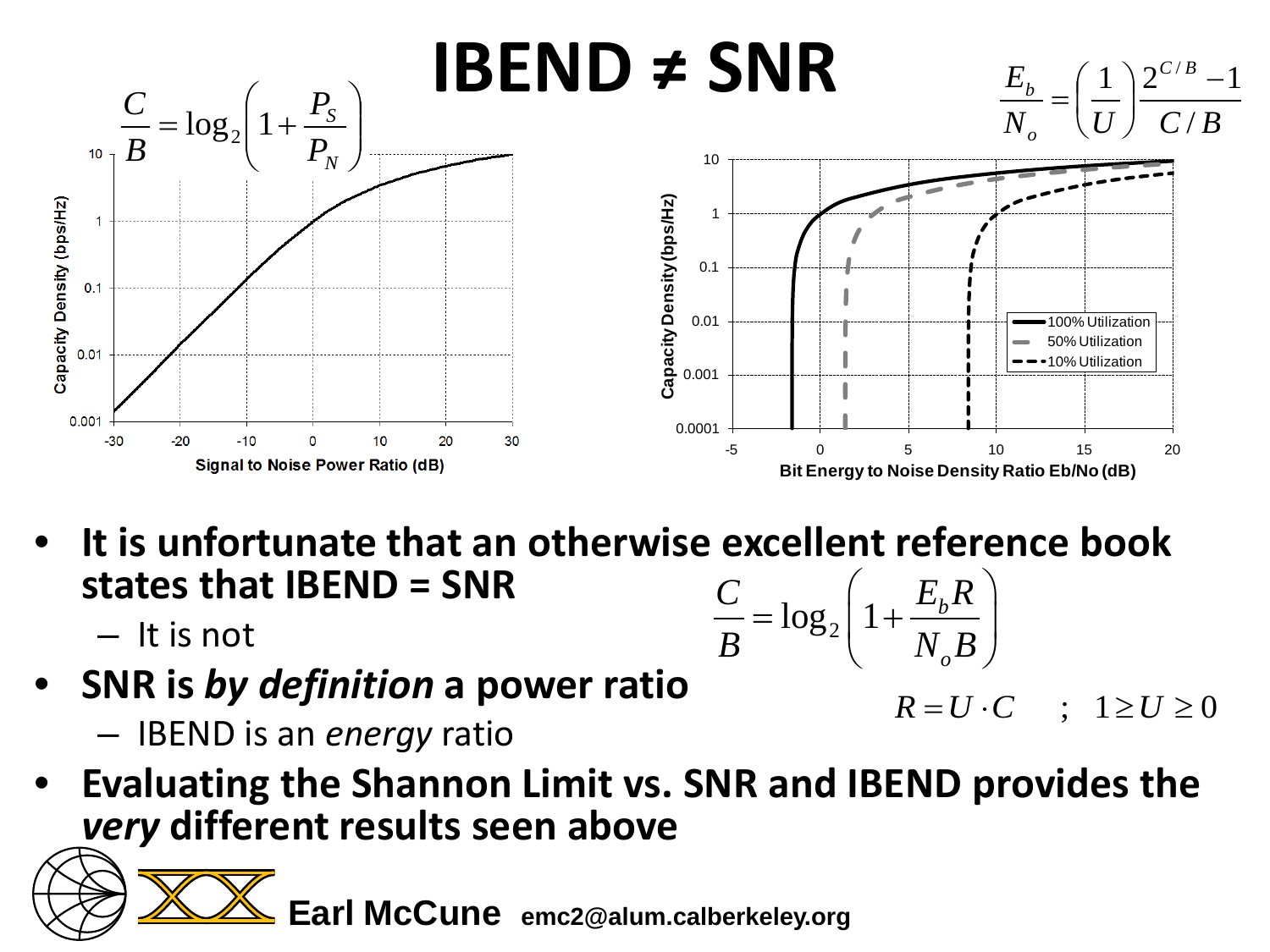

- **It is unfortunate that an otherwise excellent reference book states that IBEND = SNR**  $\log_2 |1 + \frac{L_b}{N}$  $C_{\ell_1,\ell_2}$   $\Big\{ \frac{1}{1+\ell_b}R\Big\}$  $\left(\begin{array}{cc} E_{\mu}R \end{array}\right)$  $= \log_2 \left( 1 + \frac{L_b R}{N_o B} \right)$ 
	- It is not
- **SNR is** *by definition* **a power ratio**
	- IBEND is an *energy* ratio
- **Evaluating the Shannon Limit vs. SNR and IBEND provides the**  *very* **different results seen above**

**Earl McCune emc2@alum.calberkeley.org**

 $R = U \cdot C$  ;  $1 \ge U \ge 0$ 

*o*

 $B$   $C_2$   $N_{\rho}B$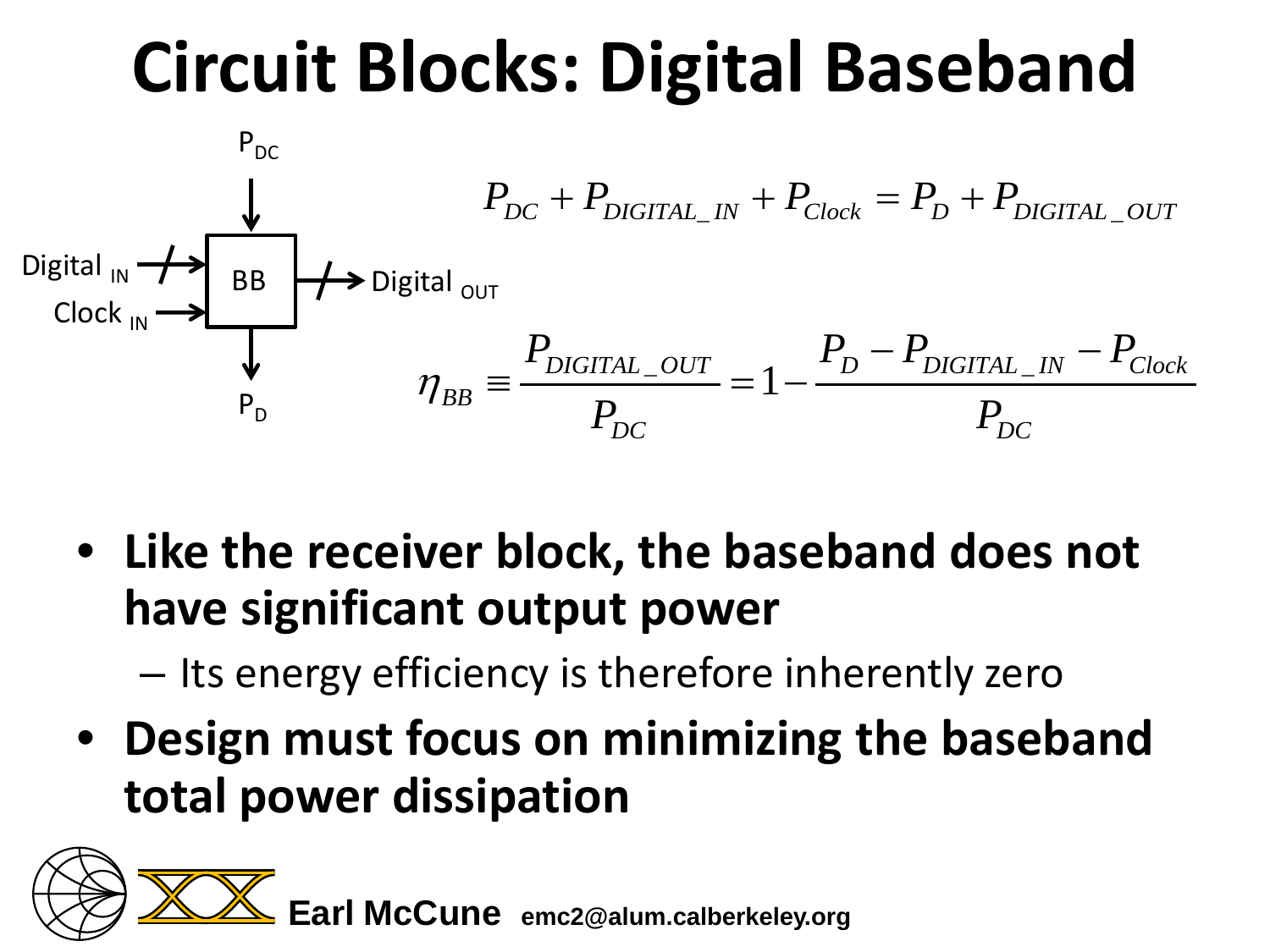# **Circuit Blocks: Digital Baseband**



- **Like the receiver block, the baseband does not have significant output power**
	- Its energy efficiency is therefore inherently zero
- **Design must focus on minimizing the baseband total power dissipation**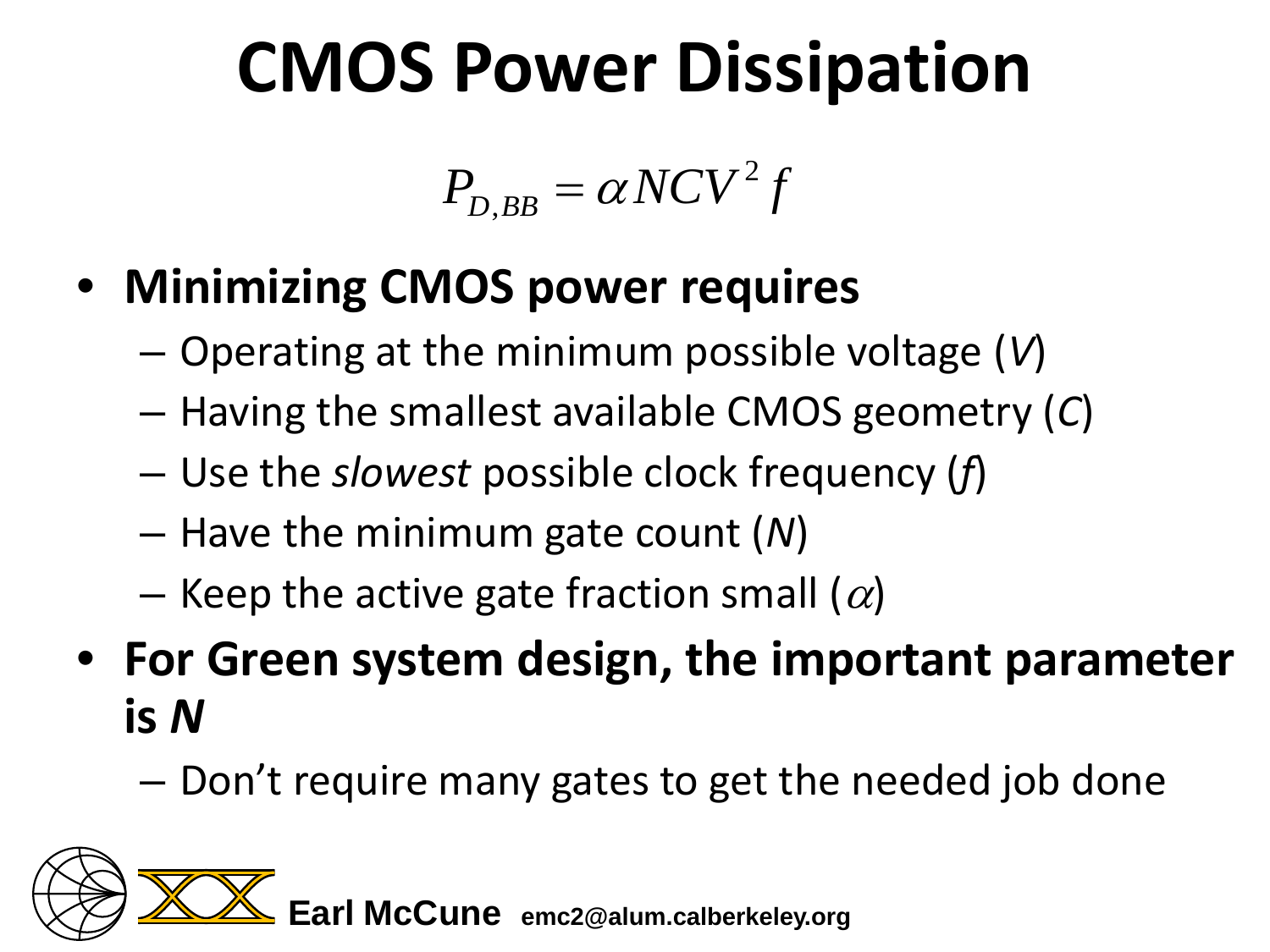## **CMOS Power Dissipation**

$$
P_{_{D,BB}}=\alpha NCV^2f
$$

- **Minimizing CMOS power requires**
	- Operating at the minimum possible voltage (*V*)
	- Having the smallest available CMOS geometry (*C*)
	- Use the *slowest* possible clock frequency (*f*)
	- Have the minimum gate count (*N*)
	- Keep the active gate fraction small  $(\alpha)$
- **For Green system design, the important parameter is** *N*
	- Don't require many gates to get the needed job done

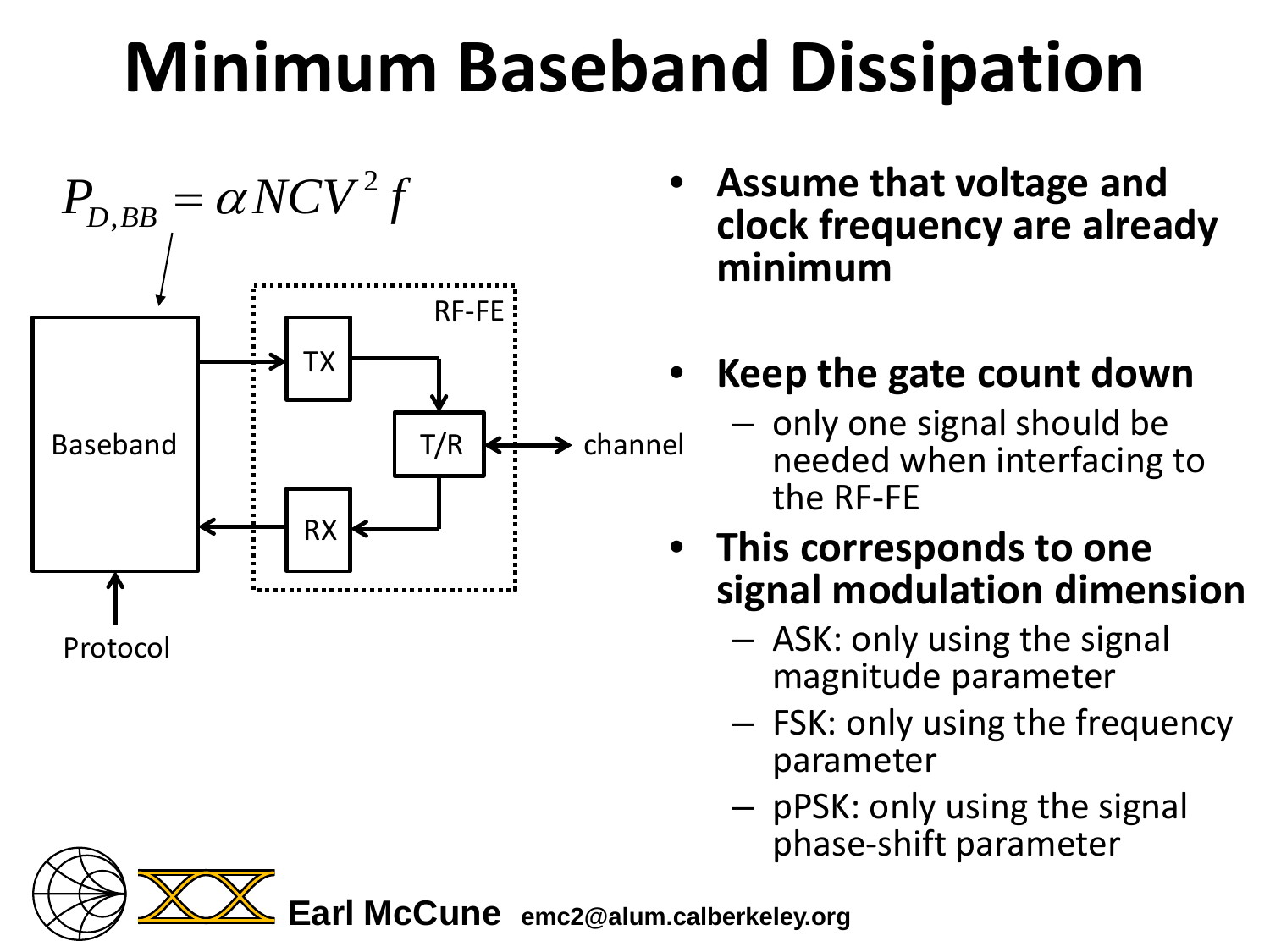# **Minimum Baseband Dissipation**



- **Assume that voltage and clock frequency are already minimum**
- **Keep the gate count down** 
	- only one signal should be needed when interfacing to the RF-FE
- **This corresponds to one signal modulation dimension**
	- ASK: only using the signal magnitude parameter
	- FSK: only using the frequency parameter
	- pPSK: only using the signal phase-shift parameter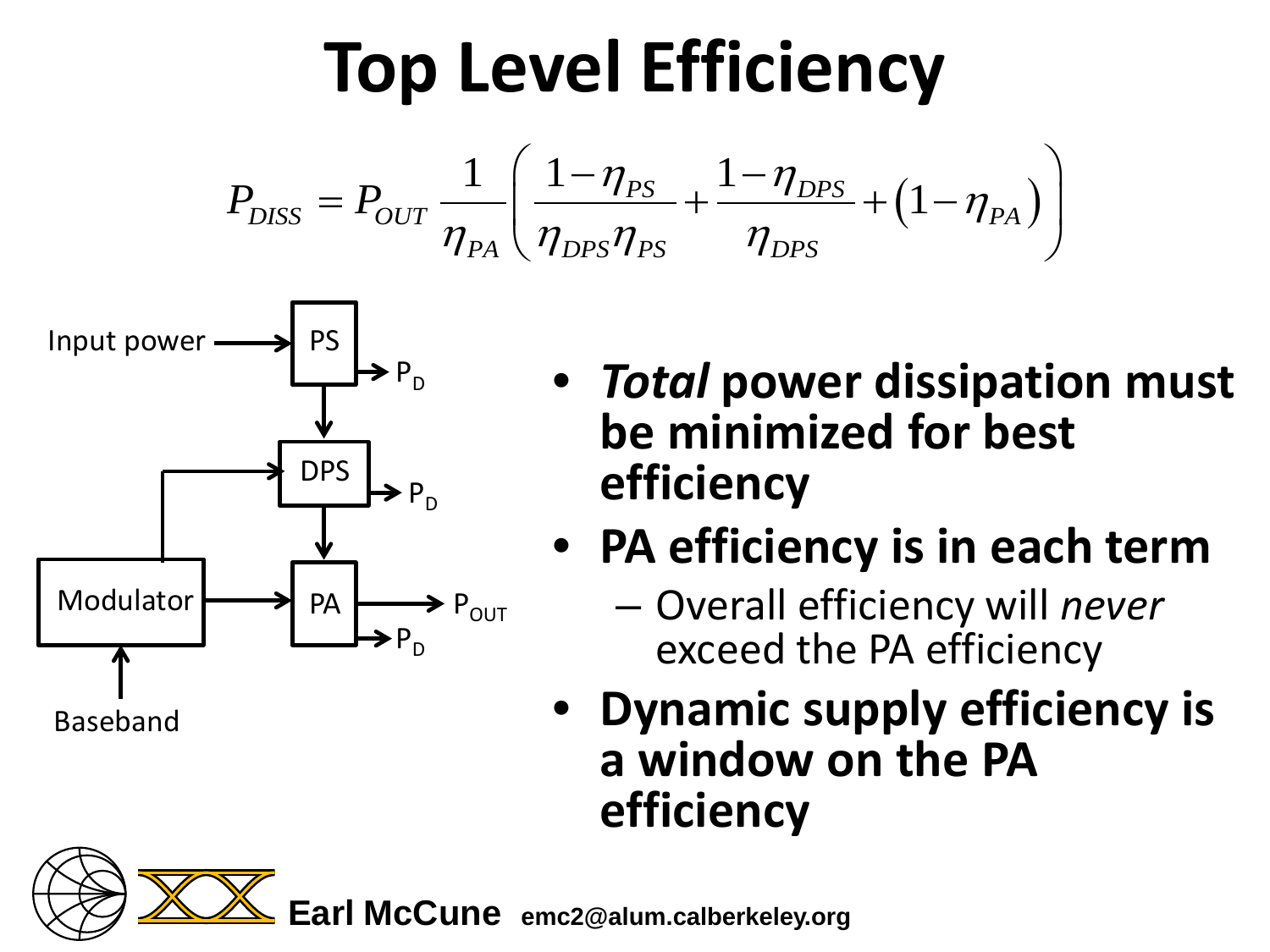### **Top Level Efficiency**

$$
P_{DISS} = P_{OUT} \frac{1}{\eta_{PA}} \left( \frac{1 - \eta_{PS}}{\eta_{DPS} \eta_{PS}} + \frac{1 - \eta_{DPS}}{\eta_{DPS}} + \left( 1 - \eta_{PA} \right) \right)
$$



- *Total* **power dissipation must be minimized for best efficiency**
- **PA efficiency is in each term**
	- Overall efficiency will *never* exceed the PA efficiency
- **Dynamic supply efficiency is a window on the PA efficiency**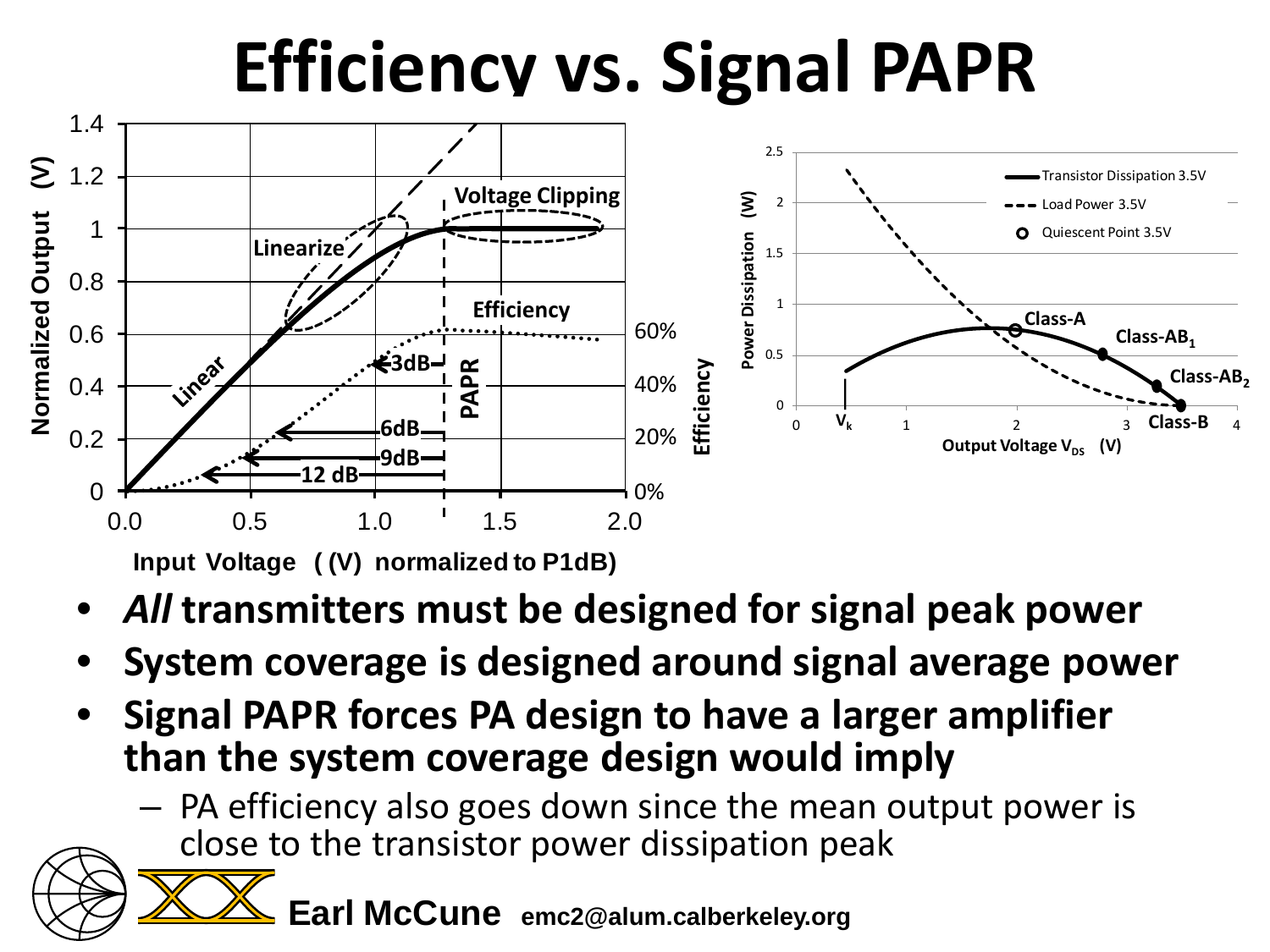### **Efficiency vs. Signal PAPR**



- *All* **transmitters must be designed for signal peak power**
- **System coverage is designed around signal average power**
- **Signal PAPR forces PA design to have a larger amplifier than the system coverage design would imply**
	- PA efficiency also goes down since the mean output power is
		- close to the transistor power dissipation peak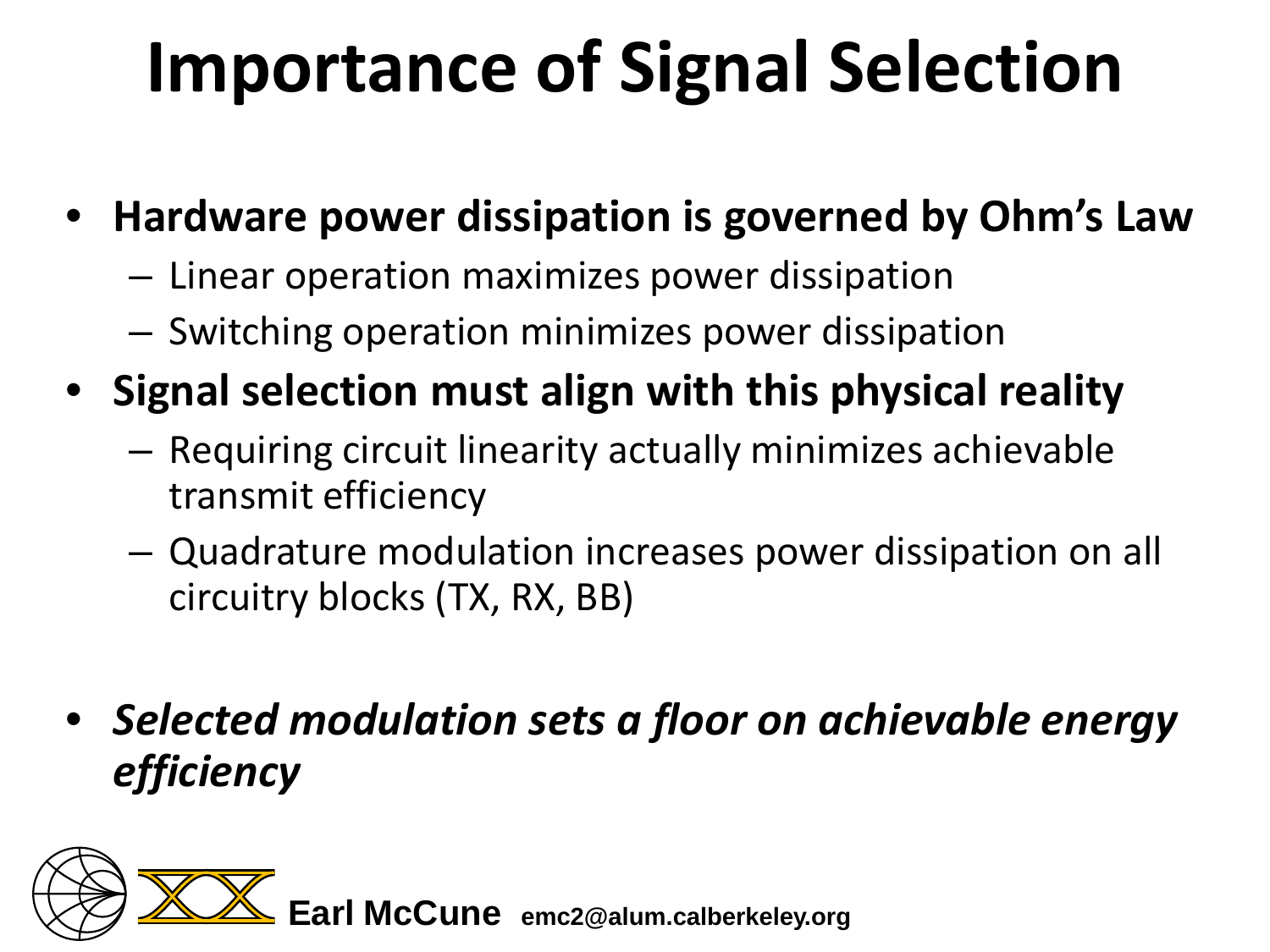# **Importance of Signal Selection**

- **Hardware power dissipation is governed by Ohm's Law**
	- Linear operation maximizes power dissipation
	- Switching operation minimizes power dissipation
- **Signal selection must align with this physical reality**
	- Requiring circuit linearity actually minimizes achievable transmit efficiency
	- Quadrature modulation increases power dissipation on all circuitry blocks (TX, RX, BB)
- *Selected modulation sets a floor on achievable energy efficiency*

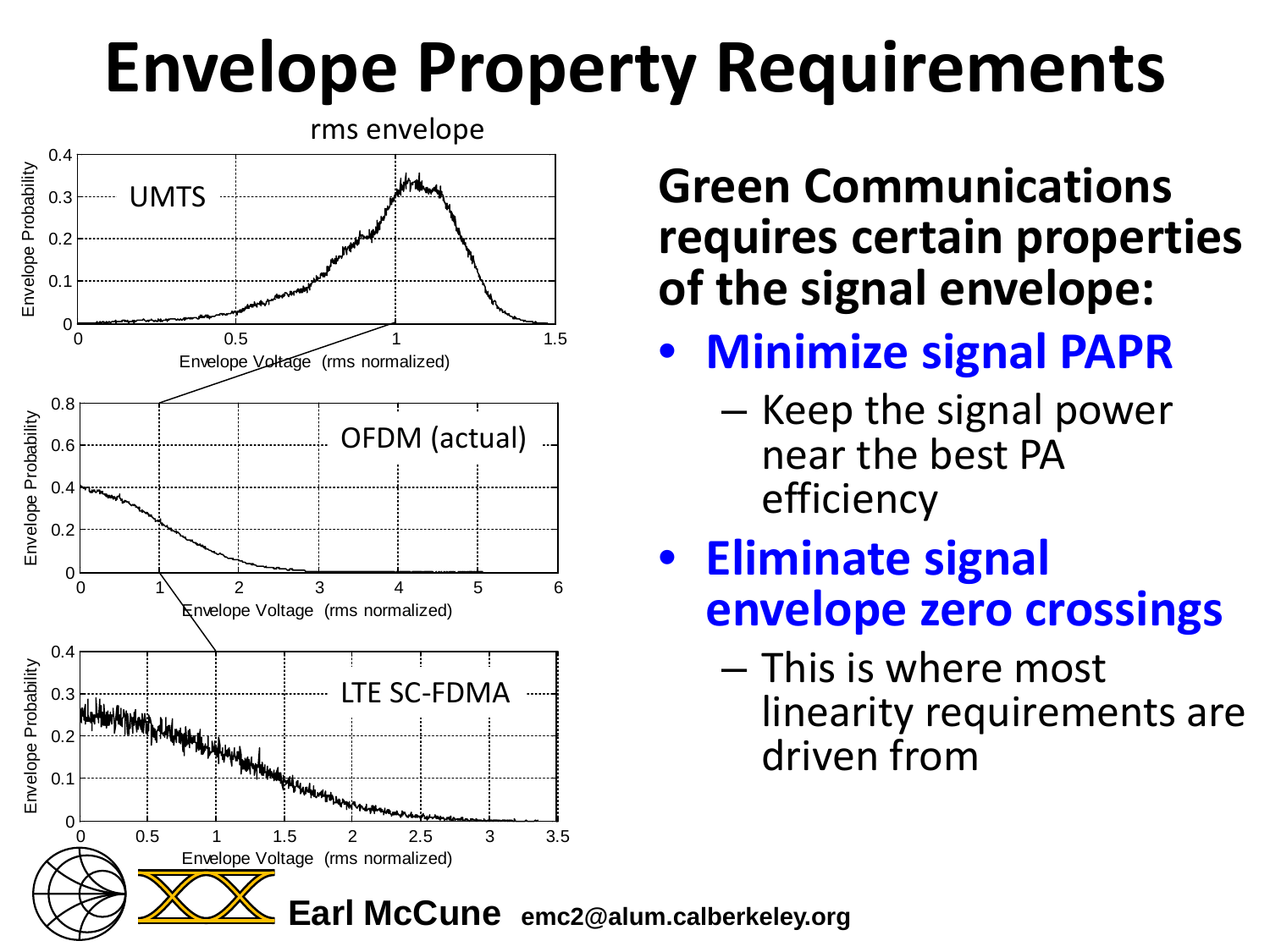### **Envelope Property Requirements**



**Green Communications requires certain properties of the signal envelope:**

- **Minimize signal PAPR**
	- Keep the signal power near the best PA efficiency

#### • **Eliminate signal envelope zero crossings**

– This is where most linearity requirements are driven from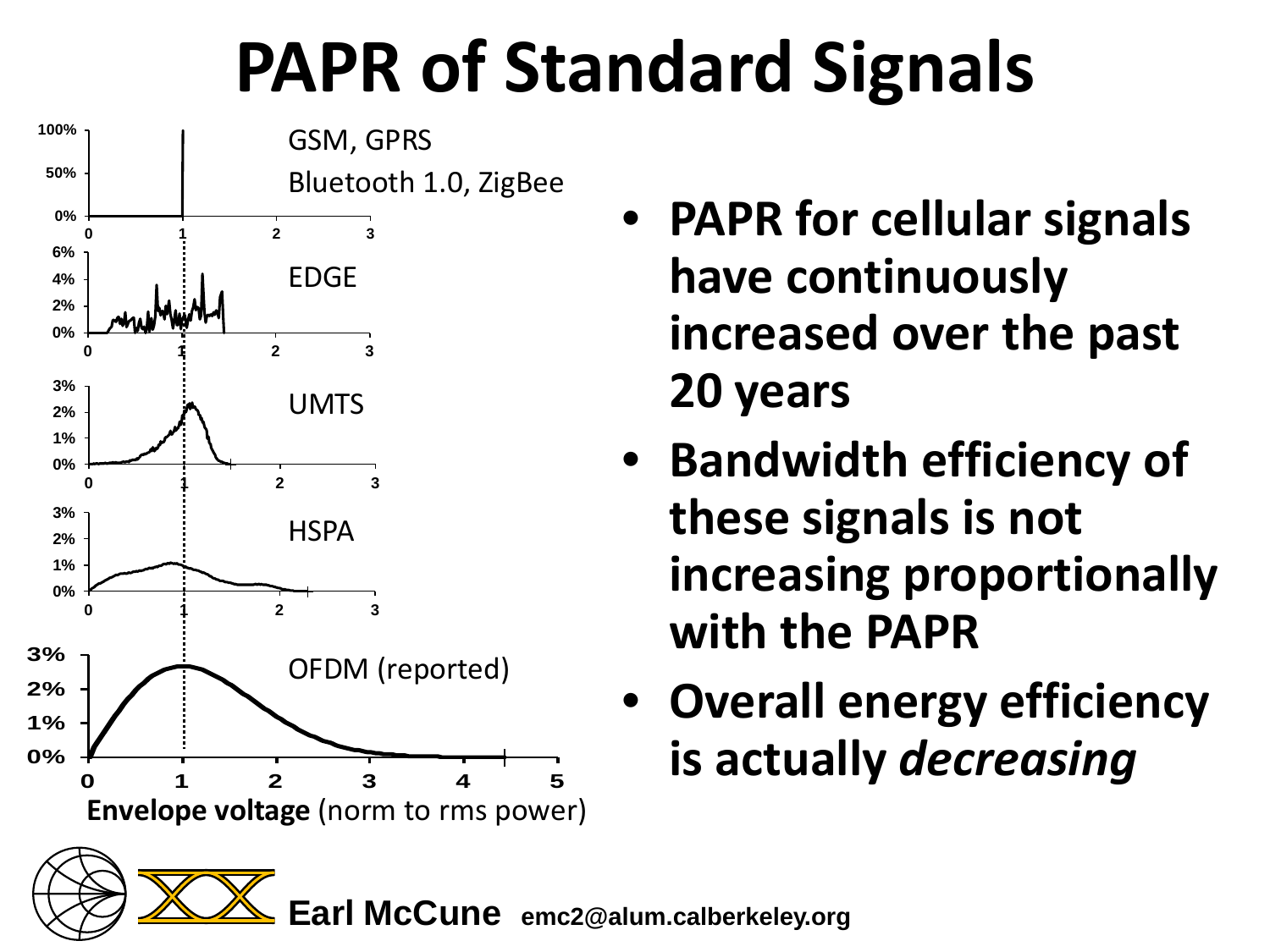# **PAPR of Standard Signals**



- **PAPR for cellular signals have continuously increased over the past 20 years**
- **Bandwidth efficiency of these signals is not increasing proportionally with the PAPR**
- **Overall energy efficiency**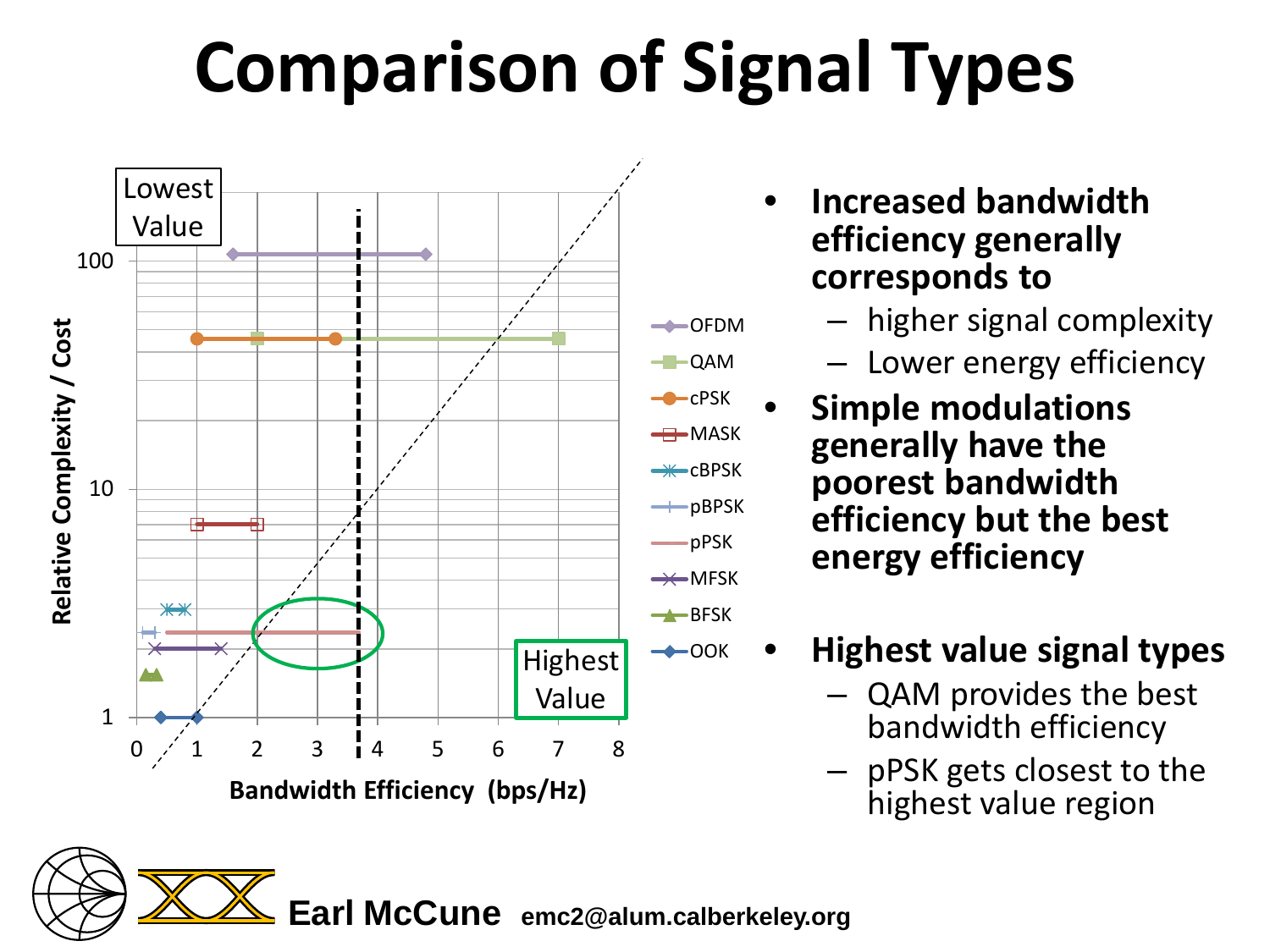# **Comparison of Signal Types**



- **Increased bandwidth efficiency generally corresponds to** 
	- higher signal complexity
	- Lower energy efficiency
- **Simple modulations generally have the poorest bandwidth efficiency but the best energy efficiency**
- **Highest value signal types**
	- QAM provides the best bandwidth efficiency
	- pPSK gets closest to the highest value region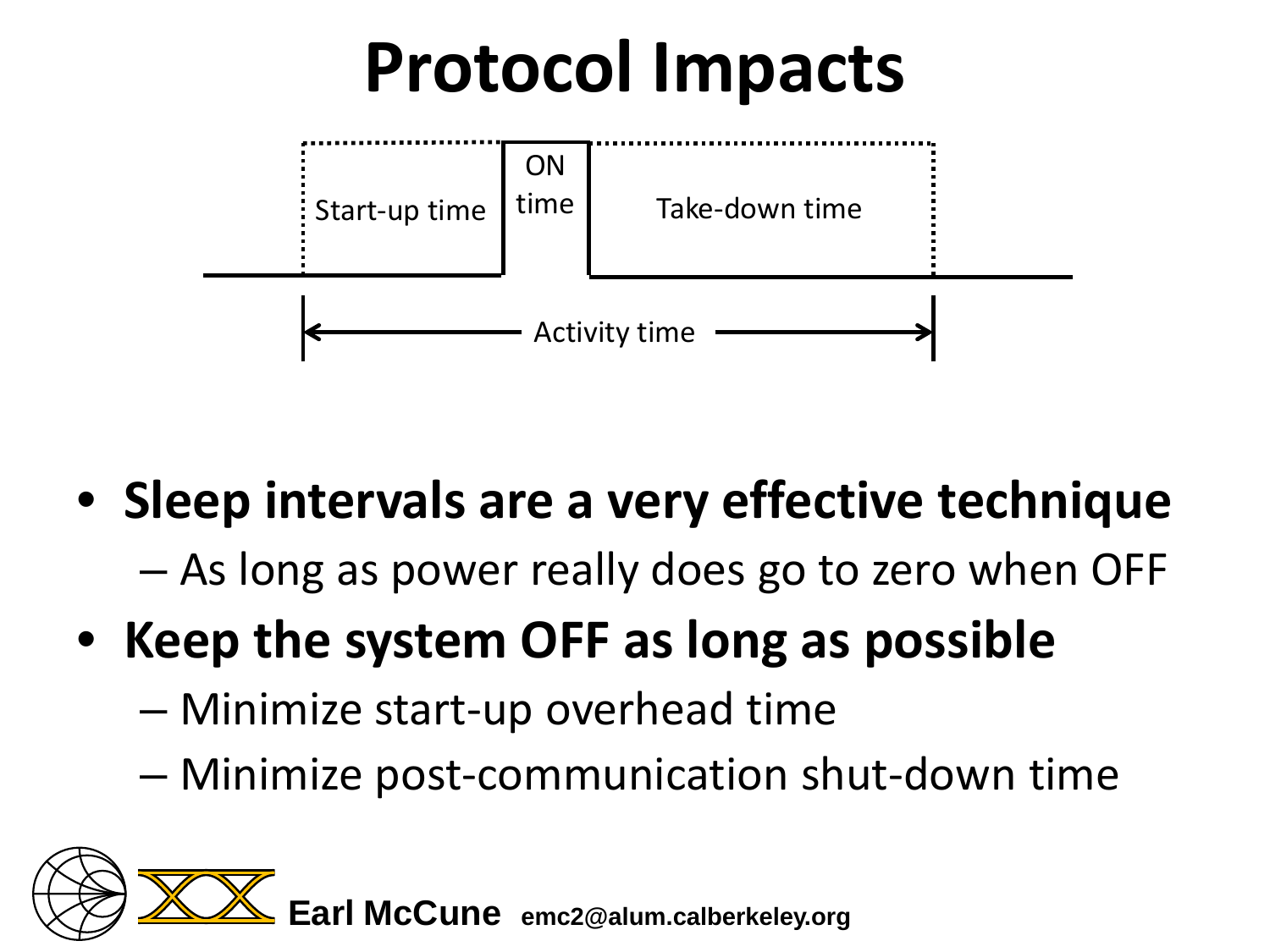

• **Sleep intervals are a very effective technique**

– As long as power really does go to zero when OFF

- **Keep the system OFF as long as possible**
	- Minimize start-up overhead time
	- Minimize post-communication shut-down time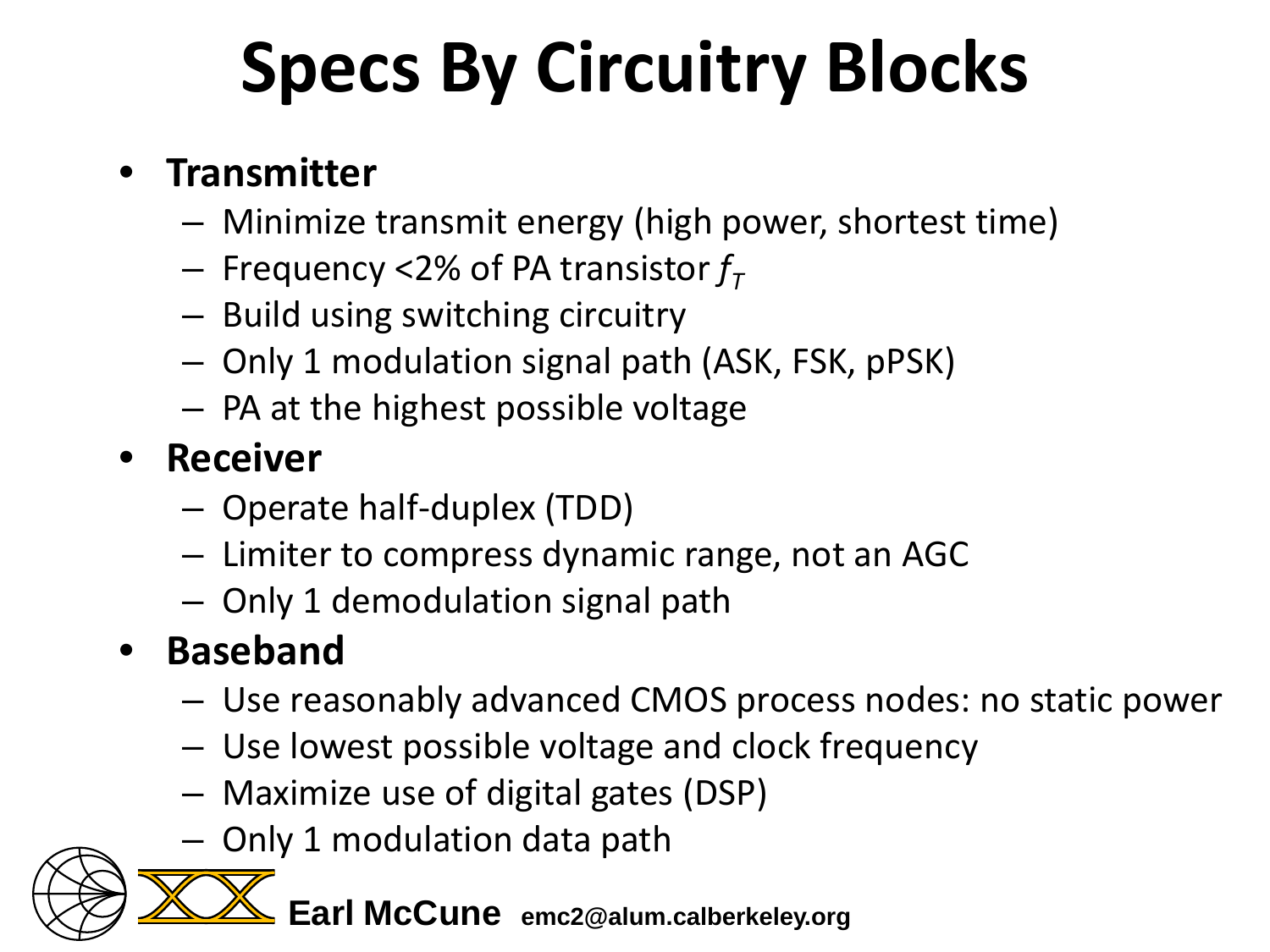# **Specs By Circuitry Blocks**

#### • **Transmitter**

- Minimize transmit energy (high power, shortest time)
- $-$  Frequency <2% of PA transistor  $f<sub>\tau</sub>$
- Build using switching circuitry
- Only 1 modulation signal path (ASK, FSK, pPSK)
- PA at the highest possible voltage

#### • **Receiver**

- Operate half-duplex (TDD)
- Limiter to compress dynamic range, not an AGC
- Only 1 demodulation signal path

#### • **Baseband**

- Use reasonably advanced CMOS process nodes: no static power
- Use lowest possible voltage and clock frequency
- Maximize use of digital gates (DSP)
- Only 1 modulation data path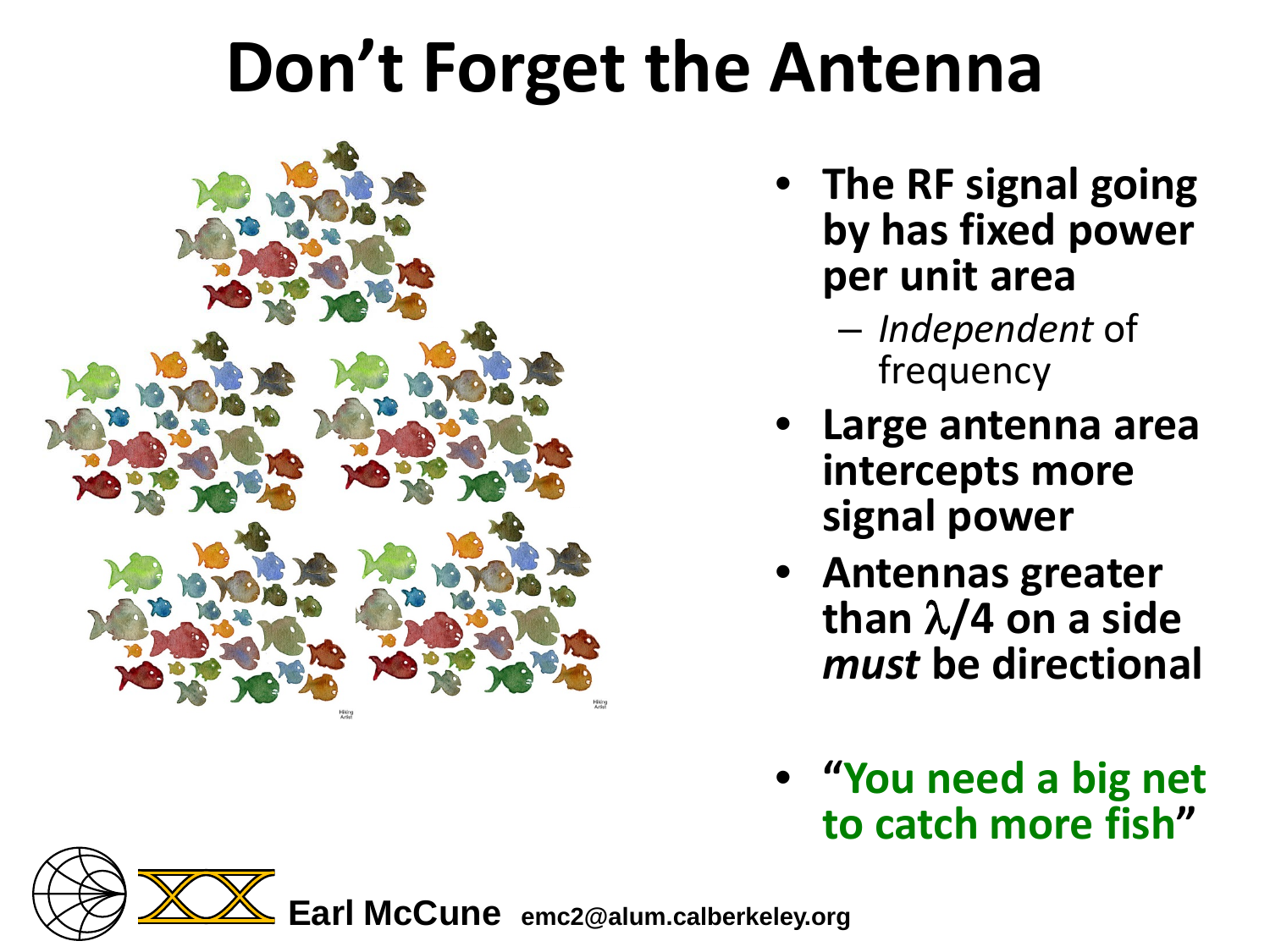#### **Don't Forget the Antenna**



- **The RF signal going by has fixed power per unit area**
	- *Independent* of frequency
- **Large antenna area intercepts more signal power**
- **Antennas greater than** λ**/4 on a side**  *must* **be directional**
- **"You need a big net to catch more fish"**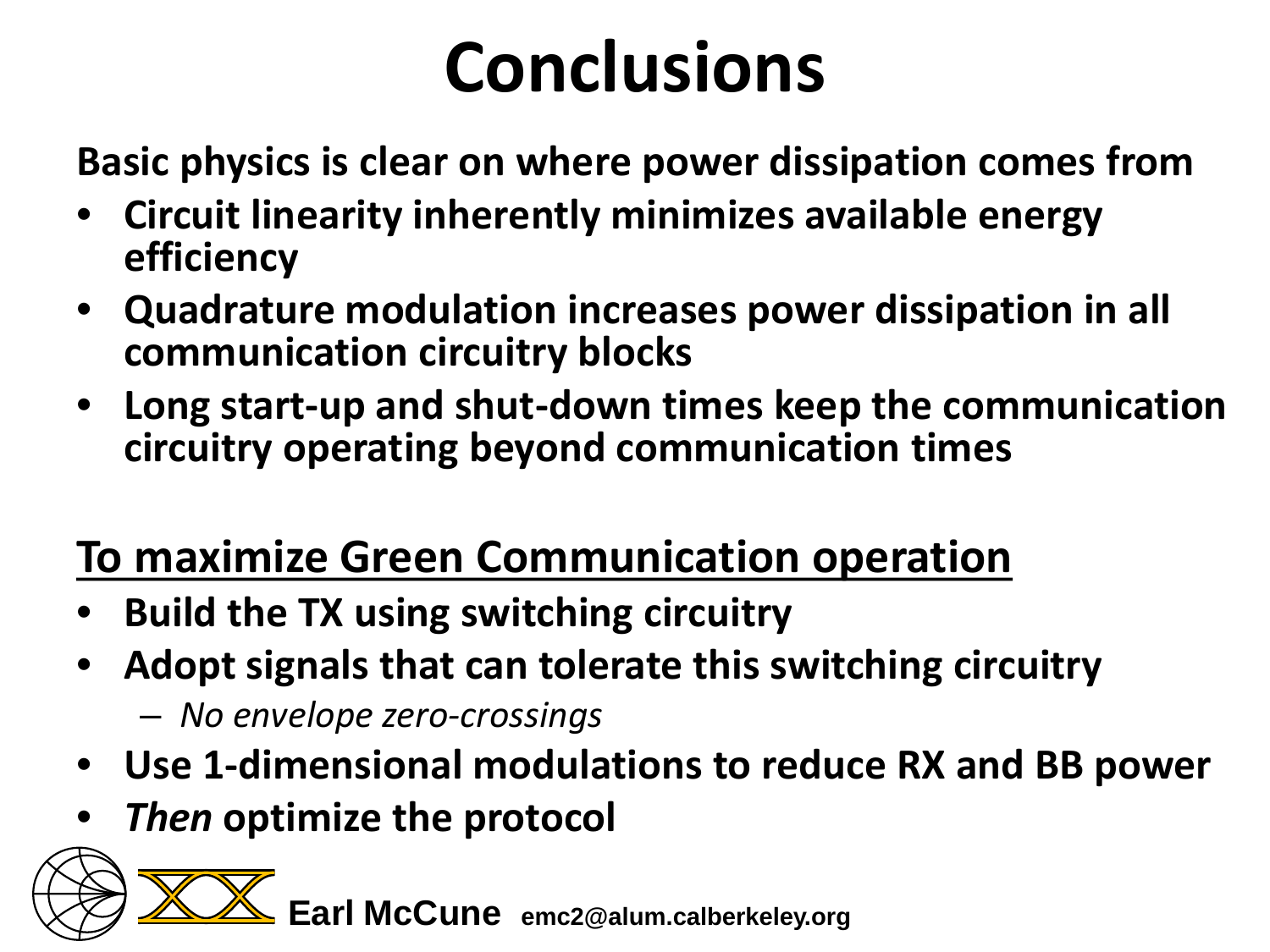# **Conclusions**

**Basic physics is clear on where power dissipation comes from**

- **Circuit linearity inherently minimizes available energy efficiency**
- **Quadrature modulation increases power dissipation in all communication circuitry blocks**
- **Long start-up and shut-down times keep the communication circuitry operating beyond communication times**

#### **To maximize Green Communication operation**

- **Build the TX using switching circuitry**
- **Adopt signals that can tolerate this switching circuitry** – *No envelope zero-crossings*
- **Use 1-dimensional modulations to reduce RX and BB power**
- *Then* **optimize the protocol**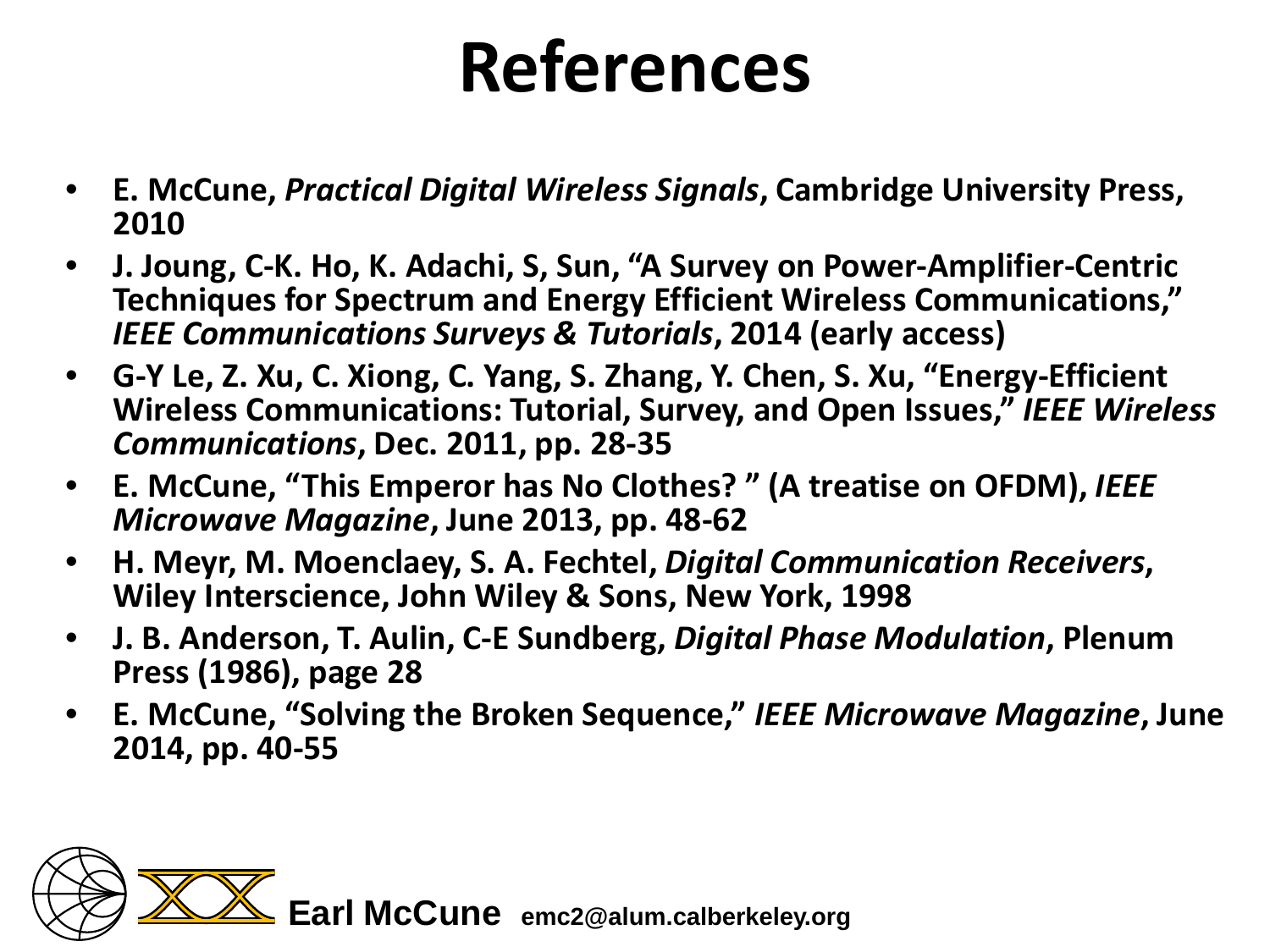#### **References**

- **E. McCune,** *Practical Digital Wireless Signals***, Cambridge University Press, 2010**
- **J. Joung, C-K. Ho, K. Adachi, S, Sun, "A Survey on Power-Amplifier-Centric Techniques for Spectrum and Energy Efficient Wireless Communications,"**  *IEEE Communications Surveys & Tutorials***, 2014 (early access)**
- **G-Y Le, Z. Xu, C. Xiong, C. Yang, S. Zhang, Y. Chen, S. Xu, "Energy-Efficient Wireless Communications: Tutorial, Survey, and Open Issues,"** *IEEE Wireless Communications***, Dec. 2011, pp. 28-35**
- **E. McCune, "This Emperor has No Clothes? " (A treatise on OFDM),** *IEEE Microwave Magazine***, June 2013, pp. 48-62**
- **H. Meyr, M. Moenclaey, S. A. Fechtel,** *Digital Communication Receivers***, Wiley Interscience, John Wiley & Sons, New York, 1998**
- **J. B. Anderson, T. Aulin, C-E Sundberg,** *Digital Phase Modulation***, Plenum Press (1986), page 28**
- **E. McCune, "Solving the Broken Sequence,"** *IEEE Microwave Magazine***, June 2014, pp. 40-55**

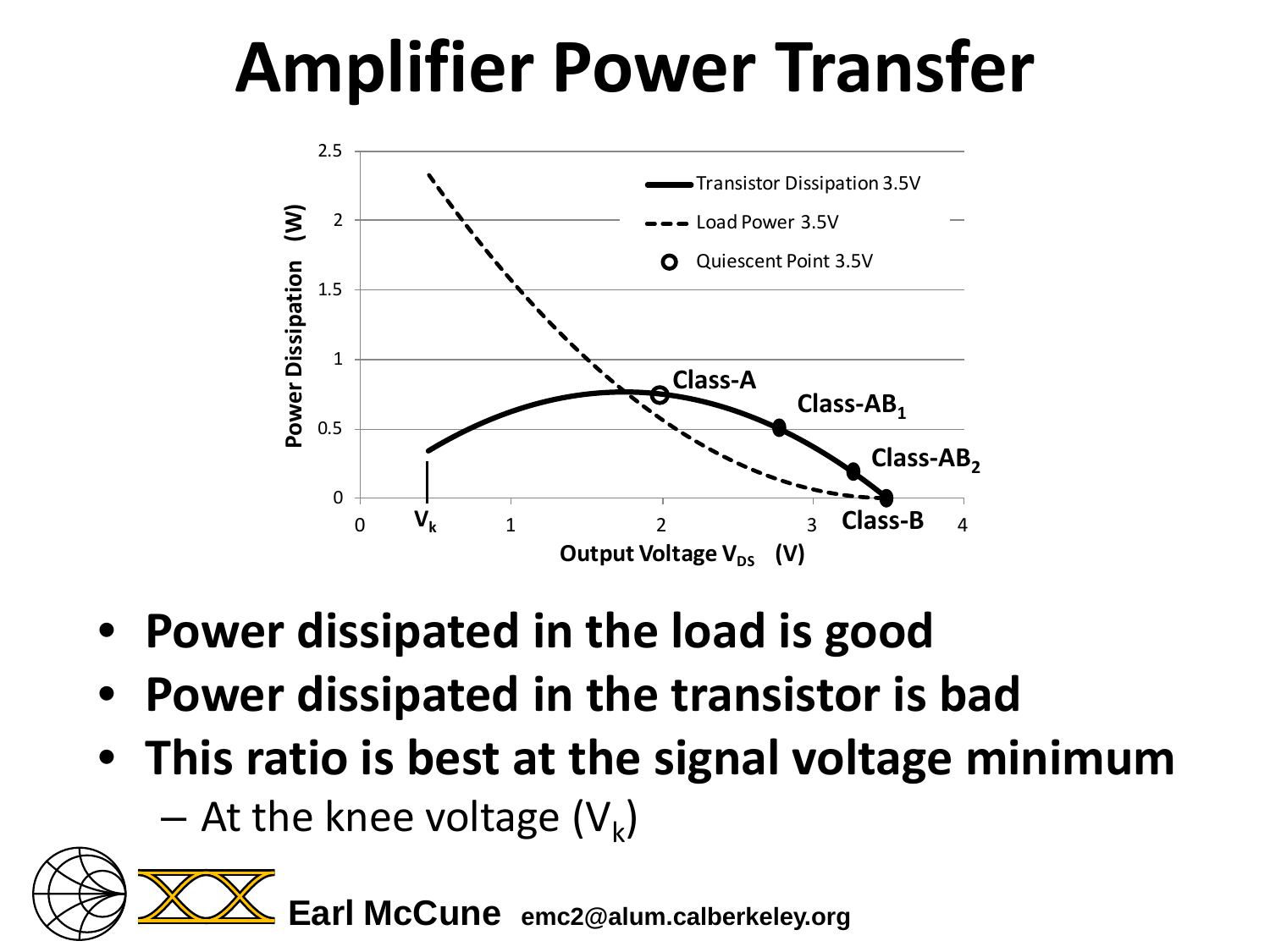# **Amplifier Power Transfer**



- **Power dissipated in the load is good**
- **Power dissipated in the transistor is bad**
- **This ratio is best at the signal voltage minimum** – At the knee voltage  $(V_k)$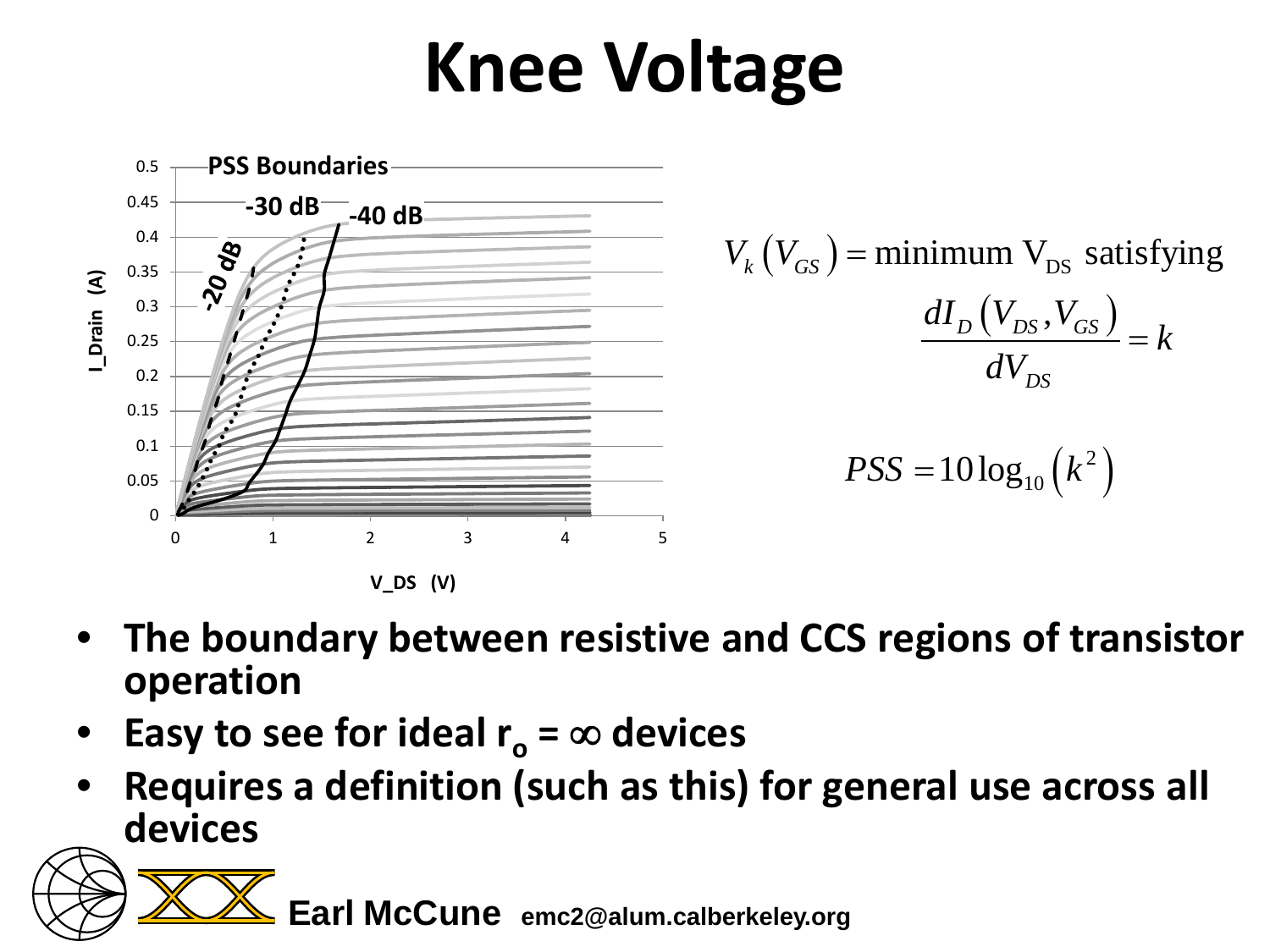# **Knee Voltage**



- **The boundary between resistive and CCS regions of transistor operation**
- **Easy to see for ideal**  $r_0 = \infty$  **devices**
- **Requires a definition (such as this) for general use across all devices**